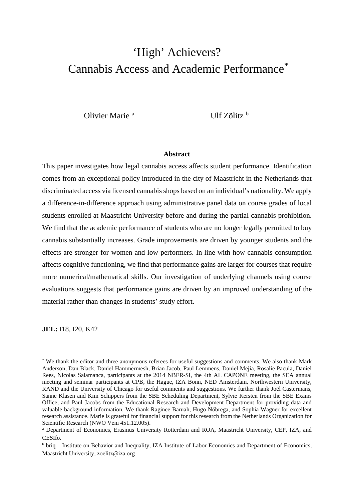# 'High' Achievers? Cannabis Access and Academic Performance[\\*](#page-0-0)

Olivier Marie [a](#page-0-1) Ulf Zölitz [b](#page-0-2)

#### **Abstract**

This paper investigates how legal cannabis access affects student performance. Identification comes from an exceptional policy introduced in the city of Maastricht in the Netherlands that discriminated access via licensed cannabis shops based on an individual's nationality. We apply a difference-in-difference approach using administrative panel data on course grades of local students enrolled at Maastricht University before and during the partial cannabis prohibition. We find that the academic performance of students who are no longer legally permitted to buy cannabis substantially increases. Grade improvements are driven by younger students and the effects are stronger for women and low performers. In line with how cannabis consumption affects cognitive functioning, we find that performance gains are larger for courses that require more numerical/mathematical skills. Our investigation of underlying channels using course evaluations suggests that performance gains are driven by an improved understanding of the material rather than changes in students' study effort.

**JEL:** I18, I20, K42

**.** 

<span id="page-0-0"></span><sup>\*</sup> We thank the editor and three anonymous referees for useful suggestions and comments. We also thank Mark Anderson, Dan Black, Daniel Hammermesh, Brian Jacob, Paul Lemmens, Daniel Mejia, Rosalie Pacula, Daniel Rees, Nicolas Salamanca, participants at the 2014 NBER-SI, the 4th AL CAPONE meeting, the SEA annual meeting and seminar participants at CPB, the Hague, IZA Bonn, NED Amsterdam, Northwestern University, RAND and the University of Chicago for useful comments and suggestions. We further thank Joël Castermans, Sanne Klasen and Kim Schippers from the SBE Scheduling Department, Sylvie Kersten from the SBE Exams Office, and Paul Jacobs from the Educational Research and Development Department for providing data and valuable background information. We thank Raginee Baruah, Hugo Nóbrega, and Sophia Wagner for excellent research assistance. Marie is grateful for financial support for this research from the Netherlands Organization for Scientific Research (NWO Veni 451.12.005).

<span id="page-0-1"></span><sup>a</sup> Department of Economics, Erasmus University Rotterdam and ROA, Maastricht University, CEP, IZA, and CESIfo.

<span id="page-0-2"></span> $<sup>b</sup> b$  briq – Institute on Behavior and Inequality, IZA Institute of Labor Economics and Department of Economics,</sup> Maastricht University, zoelitz@iza.org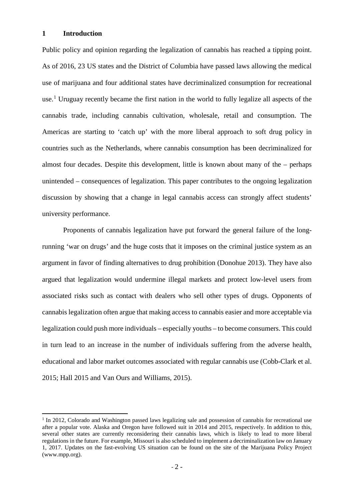## **1 Introduction**

**.** 

Public policy and opinion regarding the legalization of cannabis has reached a tipping point. As of 2016, 23 US states and the District of Columbia have passed laws allowing the medical use of marijuana and four additional states have decriminalized consumption for recreational use.<sup>[1](#page-1-0)</sup> Uruguay recently became the first nation in the world to fully legalize all aspects of the cannabis trade, including cannabis cultivation, wholesale, retail and consumption. The Americas are starting to 'catch up' with the more liberal approach to soft drug policy in countries such as the Netherlands, where cannabis consumption has been decriminalized for almost four decades. Despite this development, little is known about many of the – perhaps unintended – consequences of legalization. This paper contributes to the ongoing legalization discussion by showing that a change in legal cannabis access can strongly affect students' university performance.

Proponents of cannabis legalization have put forward the general failure of the longrunning 'war on drugs' and the huge costs that it imposes on the criminal justice system as an argument in favor of finding alternatives to drug prohibition (Donohue 2013). They have also argued that legalization would undermine illegal markets and protect low-level users from associated risks such as contact with dealers who sell other types of drugs. Opponents of cannabis legalization often argue that making access to cannabis easier and more acceptable via legalization could push more individuals – especially youths – to become consumers. This could in turn lead to an increase in the number of individuals suffering from the adverse health, educational and labor market outcomes associated with regular cannabis use (Cobb-Clark et al. 2015; Hall 2015 and Van Ours and Williams, 2015).

<span id="page-1-0"></span><sup>&</sup>lt;sup>1</sup> In 2012, Colorado and Washington passed laws legalizing sale and possession of cannabis for recreational use after a popular vote. Alaska and Oregon have followed suit in 2014 and 2015, respectively. In addition to this, several other states are currently reconsidering their cannabis laws, which is likely to lead to more liberal regulations in the future. For example, Missouri is also scheduled to implement a decriminalization law on January 1, 2017. Updates on the fast-evolving US situation can be found on the site of the Marijuana Policy Project (www.mpp.org).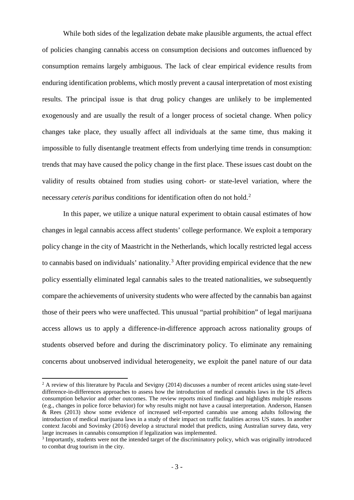While both sides of the legalization debate make plausible arguments, the actual effect of policies changing cannabis access on consumption decisions and outcomes influenced by consumption remains largely ambiguous. The lack of clear empirical evidence results from enduring identification problems, which mostly prevent a causal interpretation of most existing results. The principal issue is that drug policy changes are unlikely to be implemented exogenously and are usually the result of a longer process of societal change. When policy changes take place, they usually affect all individuals at the same time, thus making it impossible to fully disentangle treatment effects from underlying time trends in consumption: trends that may have caused the policy change in the first place. These issues cast doubt on the validity of results obtained from studies using cohort- or state-level variation, where the necessary *ceteris paribus* conditions for identification often do not hold.[2](#page-2-0)

In this paper, we utilize a unique natural experiment to obtain causal estimates of how changes in legal cannabis access affect students' college performance. We exploit a temporary policy change in the city of Maastricht in the Netherlands, which locally restricted legal access to cannabis based on individuals' nationality.<sup>[3](#page-2-1)</sup> After providing empirical evidence that the new policy essentially eliminated legal cannabis sales to the treated nationalities, we subsequently compare the achievements of university students who were affected by the cannabis ban against those of their peers who were unaffected. This unusual "partial prohibition" of legal marijuana access allows us to apply a difference-in-difference approach across nationality groups of students observed before and during the discriminatory policy. To eliminate any remaining concerns about unobserved individual heterogeneity, we exploit the panel nature of our data

 $\overline{\phantom{a}}$ 

<span id="page-2-0"></span><sup>&</sup>lt;sup>2</sup> A review of this literature by Pacula and Sevigny (2014) discusses a number of recent articles using state-level difference-in-differences approaches to assess how the introduction of medical cannabis laws in the US affects consumption behavior and other outcomes. The review reports mixed findings and highlights multiple reasons (e.g., changes in police force behavior) for why results might not have a causal interpretation. Anderson, Hansen & Rees (2013) show some evidence of increased self-reported cannabis use among adults following the introduction of medical marijuana laws in a study of their impact on traffic fatalities across US states. In another context Jacobi and Sovinsky (2016) develop a structural model that predicts, using Australian survey data, very large increases in cannabis consumption if legalization was implemented.

<span id="page-2-1"></span><sup>3</sup> Importantly, students were not the intended target of the discriminatory policy, which was originally introduced to combat drug tourism in the city.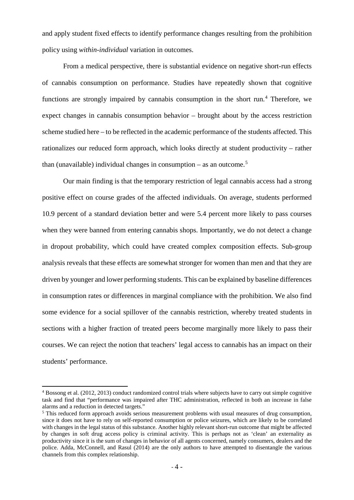and apply student fixed effects to identify performance changes resulting from the prohibition policy using *within-individual* variation in outcomes.

From a medical perspective, there is substantial evidence on negative short-run effects of cannabis consumption on performance. Studies have repeatedly shown that cognitive functions are strongly impaired by cannabis consumption in the short run.<sup>[4](#page-3-0)</sup> Therefore, we expect changes in cannabis consumption behavior – brought about by the access restriction scheme studied here – to be reflected in the academic performance of the students affected. This rationalizes our reduced form approach, which looks directly at student productivity – rather than (unavailable) individual changes in consumption – as an outcome. [5](#page-3-1)

Our main finding is that the temporary restriction of legal cannabis access had a strong positive effect on course grades of the affected individuals. On average, students performed 10.9 percent of a standard deviation better and were 5.4 percent more likely to pass courses when they were banned from entering cannabis shops. Importantly, we do not detect a change in dropout probability, which could have created complex composition effects. Sub-group analysis reveals that these effects are somewhat stronger for women than men and that they are driven by younger and lower performing students. This can be explained by baseline differences in consumption rates or differences in marginal compliance with the prohibition. We also find some evidence for a social spillover of the cannabis restriction, whereby treated students in sections with a higher fraction of treated peers become marginally more likely to pass their courses. We can reject the notion that teachers' legal access to cannabis has an impact on their students' performance.

**.** 

<span id="page-3-0"></span><sup>4</sup> Bossong et al. (2012, 2013) conduct randomized control trials where subjects have to carry out simple cognitive task and find that "performance was impaired after THC administration, reflected in both an increase in false alarms and a reduction in detected targets."

<span id="page-3-1"></span><sup>&</sup>lt;sup>5</sup> This reduced form approach avoids serious measurement problems with usual measures of drug consumption. since it does not have to rely on self-reported consumption or police seizures, which are likely to be correlated with changes in the legal status of this substance. Another highly relevant short-run outcome that might be affected by changes in soft drug access policy is criminal activity. This is perhaps not as 'clean' an externality as productivity since it is the sum of changes in behavior of all agents concerned, namely consumers, dealers and the police. Adda, McConnell, and Rasul (2014) are the only authors to have attempted to disentangle the various channels from this complex relationship.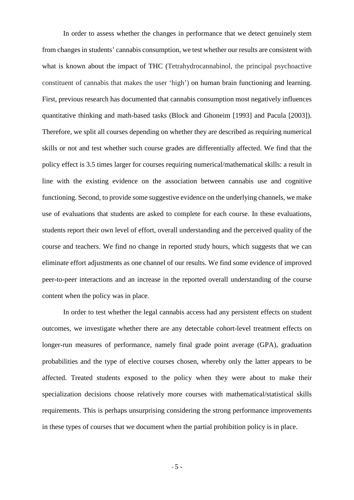In order to assess whether the changes in performance that we detect genuinely stem from changes in students' cannabis consumption, we test whether our results are consistent with what is known about the impact of THC (Tetrahydrocannabinol, the principal psychoactive constituent of cannabis that makes the user 'high') on human brain functioning and learning. First, previous research has documented that cannabis consumption most negatively influences quantitative thinking and math-based tasks (Block and Ghoneim [1993] and Pacula [2003]). Therefore, we split all courses depending on whether they are described as requiring numerical skills or not and test whether such course grades are differentially affected. We find that the policy effect is 3.5 times larger for courses requiring numerical/mathematical skills: a result in line with the existing evidence on the association between cannabis use and cognitive functioning. Second, to provide some suggestive evidence on the underlying channels, we make use of evaluations that students are asked to complete for each course. In these evaluations, students report their own level of effort, overall understanding and the perceived quality of the course and teachers. We find no change in reported study hours, which suggests that we can eliminate effort adjustments as one channel of our results. We find some evidence of improved peer-to-peer interactions and an increase in the reported overall understanding of the course content when the policy was in place.

In order to test whether the legal cannabis access had any persistent effects on student outcomes, we investigate whether there are any detectable cohort-level treatment effects on longer-run measures of performance, namely final grade point average (GPA), graduation probabilities and the type of elective courses chosen, whereby only the latter appears to be affected. Treated students exposed to the policy when they were about to make their specialization decisions choose relatively more courses with mathematical/statistical skills requirements. This is perhaps unsurprising considering the strong performance improvements in these types of courses that we document when the partial prohibition policy is in place.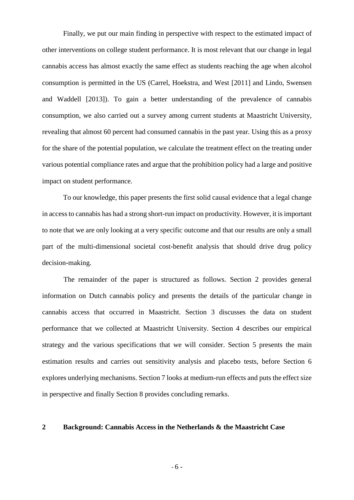Finally, we put our main finding in perspective with respect to the estimated impact of other interventions on college student performance. It is most relevant that our change in legal cannabis access has almost exactly the same effect as students reaching the age when alcohol consumption is permitted in the US (Carrel, Hoekstra, and West [2011] and Lindo, Swensen and Waddell [2013]). To gain a better understanding of the prevalence of cannabis consumption, we also carried out a survey among current students at Maastricht University, revealing that almost 60 percent had consumed cannabis in the past year. Using this as a proxy for the share of the potential population, we calculate the treatment effect on the treating under various potential compliance rates and argue that the prohibition policy had a large and positive impact on student performance.

To our knowledge, this paper presents the first solid causal evidence that a legal change in access to cannabis has had a strong short-run impact on productivity. However, it is important to note that we are only looking at a very specific outcome and that our results are only a small part of the multi-dimensional societal cost-benefit analysis that should drive drug policy decision-making.

The remainder of the paper is structured as follows. Section 2 provides general information on Dutch cannabis policy and presents the details of the particular change in cannabis access that occurred in Maastricht. Section 3 discusses the data on student performance that we collected at Maastricht University. Section 4 describes our empirical strategy and the various specifications that we will consider. Section 5 presents the main estimation results and carries out sensitivity analysis and placebo tests, before Section 6 explores underlying mechanisms. Section 7 looks at medium-run effects and puts the effect size in perspective and finally Section 8 provides concluding remarks.

#### **2 Background: Cannabis Access in the Netherlands & the Maastricht Case**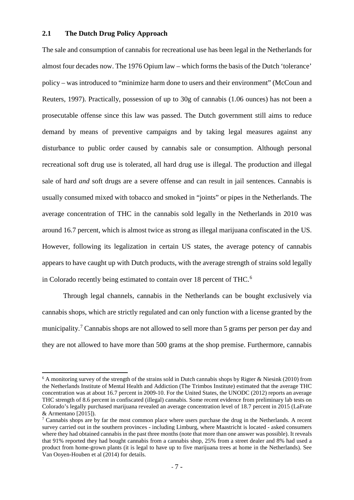## **2.1 The Dutch Drug Policy Approach**

**.** 

The sale and consumption of cannabis for recreational use has been legal in the Netherlands for almost four decades now. The 1976 Opium law – which forms the basis of the Dutch 'tolerance' policy – was introduced to "minimize harm done to users and their environment" (McCoun and Reuters, 1997). Practically, possession of up to 30g of cannabis (1.06 ounces) has not been a prosecutable offense since this law was passed. The Dutch government still aims to reduce demand by means of preventive campaigns and by taking legal measures against any disturbance to public order caused by cannabis sale or consumption. Although personal recreational soft drug use is tolerated, all hard drug use is illegal. The production and illegal sale of hard *and* soft drugs are a severe offense and can result in jail sentences. Cannabis is usually consumed mixed with tobacco and smoked in "joints" or pipes in the Netherlands. The average concentration of THC in the cannabis sold legally in the Netherlands in 2010 was around 16.7 percent, which is almost twice as strong as illegal marijuana confiscated in the US. However, following its legalization in certain US states, the average potency of cannabis appears to have caught up with Dutch products, with the average strength of strains sold legally in Colorado recently being estimated to contain over 18 percent of THC. [6](#page-6-0)

Through legal channels, cannabis in the Netherlands can be bought exclusively via cannabis shops, which are strictly regulated and can only function with a license granted by the municipality.[7](#page-6-1) Cannabis shops are not allowed to sell more than 5 grams per person per day and they are not allowed to have more than 500 grams at the shop premise. Furthermore, cannabis

<span id="page-6-0"></span> $6$  A monitoring survey of the strength of the strains sold in Dutch cannabis shops by Rigter & Niesink (2010) from the Netherlands Institute of Mental Health and Addiction (The Trimbos Institute) estimated that the average THC concentration was at about 16.7 percent in 2009-10. For the United States, the UNODC (2012) reports an average THC strength of 8.6 percent in confiscated (illegal) cannabis. Some recent evidence from preliminary lab tests on Colorado's legally purchased marijuana revealed an average concentration level of 18.7 percent in 2015 (LaFrate & Armentano [2015]).

<span id="page-6-1"></span><sup>&</sup>lt;sup>7</sup> Cannabis shops are by far the most common place where users purchase the drug in the Netherlands. A recent survey carried out in the southern provinces - including Limburg, where Maastricht is located - asked consumers where they had obtained cannabis in the past three months (note that more than one answer was possible). It reveals that 91% reported they had bought cannabis from a cannabis shop, 25% from a street dealer and 8% had used a product from home-grown plants (it is legal to have up to five marijuana trees at home in the Netherlands). See Van Ooyen-Houben et al (2014) for details.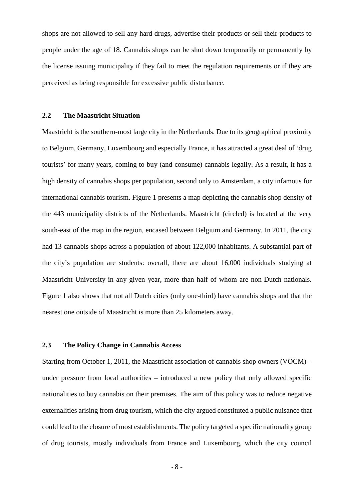shops are not allowed to sell any hard drugs, advertise their products or sell their products to people under the age of 18. Cannabis shops can be shut down temporarily or permanently by the license issuing municipality if they fail to meet the regulation requirements or if they are perceived as being responsible for excessive public disturbance.

## **2.2 The Maastricht Situation**

Maastricht is the southern-most large city in the Netherlands. Due to its geographical proximity to Belgium, Germany, Luxembourg and especially France, it has attracted a great deal of 'drug tourists' for many years, coming to buy (and consume) cannabis legally. As a result, it has a high density of cannabis shops per population, second only to Amsterdam, a city infamous for international cannabis tourism. Figure 1 presents a map depicting the cannabis shop density of the 443 municipality districts of the Netherlands. Maastricht (circled) is located at the very south-east of the map in the region, encased between Belgium and Germany. In 2011, the city had 13 cannabis shops across a population of about 122,000 inhabitants. A substantial part of the city's population are students: overall, there are about 16,000 individuals studying at Maastricht University in any given year, more than half of whom are non-Dutch nationals. Figure 1 also shows that not all Dutch cities (only one-third) have cannabis shops and that the nearest one outside of Maastricht is more than 25 kilometers away.

## **2.3 The Policy Change in Cannabis Access**

Starting from October 1, 2011, the Maastricht association of cannabis shop owners (VOCM) – under pressure from local authorities – introduced a new policy that only allowed specific nationalities to buy cannabis on their premises. The aim of this policy was to reduce negative externalities arising from drug tourism, which the city argued constituted a public nuisance that could lead to the closure of most establishments. The policy targeted a specific nationality group of drug tourists, mostly individuals from France and Luxembourg, which the city council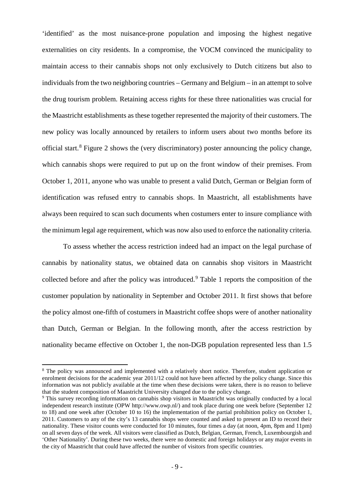'identified' as the most nuisance-prone population and imposing the highest negative externalities on city residents. In a compromise, the VOCM convinced the municipality to maintain access to their cannabis shops not only exclusively to Dutch citizens but also to individuals from the two neighboring countries – Germany and Belgium – in an attempt to solve the drug tourism problem. Retaining access rights for these three nationalities was crucial for the Maastricht establishments as these together represented the majority of their customers. The new policy was locally announced by retailers to inform users about two months before its official start.<sup>[8](#page-8-0)</sup> Figure 2 shows the (very discriminatory) poster announcing the policy change, which cannabis shops were required to put up on the front window of their premises. From October 1, 2011, anyone who was unable to present a valid Dutch, German or Belgian form of identification was refused entry to cannabis shops. In Maastricht, all establishments have always been required to scan such documents when costumers enter to insure compliance with the minimum legal age requirement, which was now also used to enforce the nationality criteria.

To assess whether the access restriction indeed had an impact on the legal purchase of cannabis by nationality status, we obtained data on cannabis shop visitors in Maastricht collected before and after the policy was introduced. [9](#page-8-1) Table 1 reports the composition of the customer population by nationality in September and October 2011. It first shows that before the policy almost one-fifth of costumers in Maastricht coffee shops were of another nationality than Dutch, German or Belgian. In the following month, after the access restriction by nationality became effective on October 1, the non-DGB population represented less than 1.5

**.** 

<span id="page-8-0"></span><sup>&</sup>lt;sup>8</sup> The policy was announced and implemented with a relatively short notice. Therefore, student application or enrolment decisions for the academic year 2011/12 could not have been affected by the policy change. Since this information was not publicly available at the time when these decisions were taken, there is no reason to believe that the student composition of Maastricht University changed due to the policy change.

<span id="page-8-1"></span><sup>9</sup> This survey recording information on cannabis shop visitors in Maastricht was originally conducted by a local independent research institute (OPW http://www.owp.nl/) and took place during one week before (September 12 to 18) and one week after (October 10 to 16) the implementation of the partial prohibition policy on October 1, 2011. Customers to any of the city's 13 cannabis shops were counted and asked to present an ID to record their nationality. These visitor counts were conducted for 10 minutes, four times a day (at noon, 4pm, 8pm and 11pm) on all seven days of the week. All visitors were classified as Dutch, Belgian, German, French, Luxembourgish and 'Other Nationality'. During these two weeks, there were no domestic and foreign holidays or any major events in the city of Maastricht that could have affected the number of visitors from specific countries.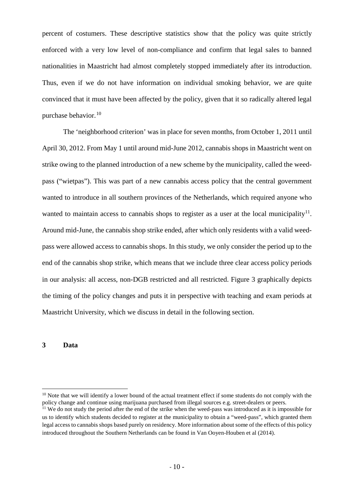percent of costumers. These descriptive statistics show that the policy was quite strictly enforced with a very low level of non-compliance and confirm that legal sales to banned nationalities in Maastricht had almost completely stopped immediately after its introduction. Thus, even if we do not have information on individual smoking behavior, we are quite convinced that it must have been affected by the policy, given that it so radically altered legal purchase behavior.<sup>[10](#page-9-0)</sup>

The 'neighborhood criterion' was in place for seven months, from October 1, 2011 until April 30, 2012. From May 1 until around mid-June 2012, cannabis shops in Maastricht went on strike owing to the planned introduction of a new scheme by the municipality, called the weedpass ("wietpas"). This was part of a new cannabis access policy that the central government wanted to introduce in all southern provinces of the Netherlands, which required anyone who wanted to maintain access to cannabis shops to register as a user at the local municipality<sup>11</sup>. Around mid-June, the cannabis shop strike ended, after which only residents with a valid weedpass were allowed access to cannabis shops. In this study, we only consider the period up to the end of the cannabis shop strike, which means that we include three clear access policy periods in our analysis: all access, non-DGB restricted and all restricted. Figure 3 graphically depicts the timing of the policy changes and puts it in perspective with teaching and exam periods at Maastricht University, which we discuss in detail in the following section.

## **3 Data**

**.** 

<span id="page-9-0"></span> $10$  Note that we will identify a lower bound of the actual treatment effect if some students do not comply with the policy change and continue using marijuana purchased from illegal sources e.g. street-dealers or peers.

<span id="page-9-1"></span><sup>&</sup>lt;sup>11</sup> We do not study the period after the end of the strike when the weed-pass was introduced as it is impossible for us to identify which students decided to register at the municipality to obtain a "weed-pass", which granted them legal access to cannabis shops based purely on residency. More information about some of the effects of this policy introduced throughout the Southern Netherlands can be found in Van Ooyen-Houben et al (2014).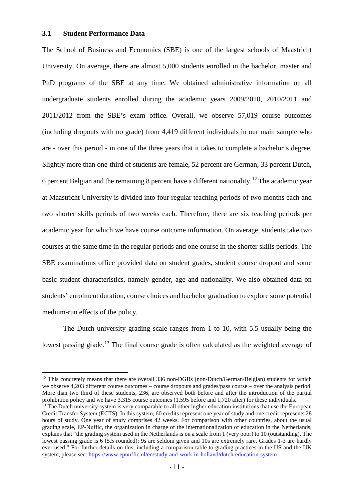**.** 

The School of Business and Economics (SBE) is one of the largest schools of Maastricht University. On average, there are almost 5,000 students enrolled in the bachelor, master and PhD programs of the SBE at any time. We obtained administrative information on all undergraduate students enrolled during the academic years 2009/2010, 2010/2011 and 2011/2012 from the SBE's exam office. Overall, we observe 57,019 course outcomes (including dropouts with no grade) from 4,419 different individuals in our main sample who are - over this period - in one of the three years that it takes to complete a bachelor's degree. Slightly more than one-third of students are female, 52 percent are German, 33 percent Dutch, 6 percent Belgian and the remaining 8 percent have a different nationality. [12](#page-10-0) The academic year at Maastricht University is divided into four regular teaching periods of two months each and two shorter skills periods of two weeks each. Therefore, there are six teaching periods per academic year for which we have course outcome information. On average, students take two courses at the same time in the regular periods and one course in the shorter skills periods. The SBE examinations office provided data on student grades, student course dropout and some basic student characteristics, namely gender, age and nationality. We also obtained data on students' enrolment duration, course choices and bachelor graduation to explore some potential medium-run effects of the policy.

The Dutch university grading scale ranges from 1 to 10, with 5.5 usually being the lowest passing grade.<sup>[13](#page-10-1)</sup> The final course grade is often calculated as the weighted average of

<span id="page-10-0"></span> $12$  This concretely means that there are overall 336 non-DGBs (non-Dutch/German/Belgian) students for which we observe 4,203 different course outcomes – course dropouts and grades/pass course – over the analysis period. More than two third of these students, 236, are observed both before and after the introduction of the partial prohibition policy and we have 3,315 course outcomes (1,595 before and 1,720 after) for these individuals.

<span id="page-10-1"></span> $<sup>13</sup>$  The Dutch university system is very comparable to all other higher education institutions that use the European</sup> Credit Transfer System (ECTS). In this system, 60 credits represent one year of study and one credit represents 28 hours of study. One year of study comprises 42 weeks. For comparison with other countries, about the usual grading scale, EP-Nuffic, the organization in charge of the internationalization of education in the Netherlands, explains that "the grading system used in the Netherlands is on a scale from 1 (very poor) to 10 (outstanding). The lowest passing grade is 6 (5.5 rounded); 9s are seldom given and 10s are extremely rare. Grades 1-3 are hardly ever used." For further details on this, including a comparison table to grading practices in the US and the UK system, please see:<https://www.epnuffic.nl/en/study-and-work-in-holland/dutch-education-system> .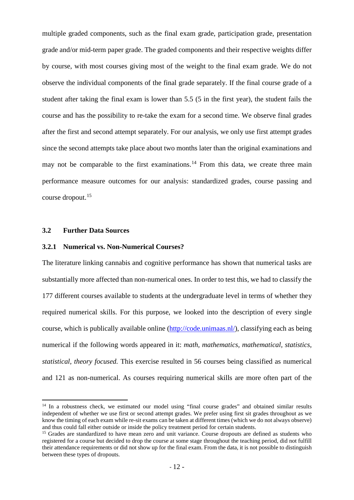multiple graded components, such as the final exam grade, participation grade, presentation grade and/or mid-term paper grade. The graded components and their respective weights differ by course, with most courses giving most of the weight to the final exam grade. We do not observe the individual components of the final grade separately. If the final course grade of a student after taking the final exam is lower than 5.5 (5 in the first year), the student fails the course and has the possibility to re-take the exam for a second time. We observe final grades after the first and second attempt separately. For our analysis, we only use first attempt grades since the second attempts take place about two months later than the original examinations and may not be comparable to the first examinations.<sup>[14](#page-11-0)</sup> From this data, we create three main performance measure outcomes for our analysis: standardized grades, course passing and course dropout.[15](#page-11-1)

# **3.2 Further Data Sources**

 $\overline{a}$ 

#### **3.2.1 Numerical vs. Non-Numerical Courses?**

The literature linking cannabis and cognitive performance has shown that numerical tasks are substantially more affected than non-numerical ones. In order to test this, we had to classify the 177 different courses available to students at the undergraduate level in terms of whether they required numerical skills. For this purpose, we looked into the description of every single course, which is publically available online [\(http://code.unimaas.nl/\)](http://code.unimaas.nl/), classifying each as being numerical if the following words appeared in it: *math, mathematics, mathematical, statistics, statistical, theory focused.* This exercise resulted in 56 courses being classified as numerical and 121 as non-numerical. As courses requiring numerical skills are more often part of the

<span id="page-11-0"></span><sup>&</sup>lt;sup>14</sup> In a robustness check, we estimated our model using "final course grades" and obtained similar results independent of whether we use first or second attempt grades. We prefer using first sit grades throughout as we know the timing of each exam while re-sit exams can be taken at different times (which we do not always observe) and thus could fall either outside or inside the policy treatment period for certain students.

<span id="page-11-1"></span> $15$  Grades are standardized to have mean zero and unit variance. Course dropouts are defined as students who registered for a course but decided to drop the course at some stage throughout the teaching period, did not fulfill their attendance requirements or did not show up for the final exam. From the data, it is not possible to distinguish between these types of dropouts.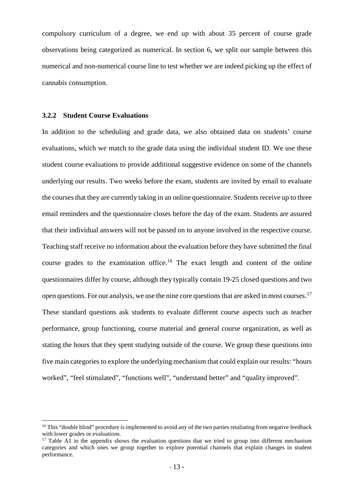compulsory curriculum of a degree, we end up with about 35 percent of course grade observations being categorized as numerical. In section 6, we split our sample between this numerical and non-numerical course line to test whether we are indeed picking up the effect of cannabis consumption.

#### **3.2.2 Student Course Evaluations**

 $\overline{a}$ 

In addition to the scheduling and grade data, we also obtained data on students' course evaluations, which we match to the grade data using the individual student ID. We use these student course evaluations to provide additional suggestive evidence on some of the channels underlying our results. Two weeks before the exam, students are invited by email to evaluate the courses that they are currently taking in an online questionnaire. Students receive up to three email reminders and the questionnaire closes before the day of the exam. Students are assured that their individual answers will not be passed on to anyone involved in the respective course. Teaching staff receive no information about the evaluation before they have submitted the final course grades to the examination office.<sup>[16](#page-12-0)</sup> The exact length and content of the online questionnaires differ by course, although they typically contain 19-25 closed questions and two open questions. For our analysis, we use the nine core questions that are asked in most courses.[17](#page-12-1) These standard questions ask students to evaluate different course aspects such as teacher performance, group functioning, course material and general course organization, as well as stating the hours that they spent studying outside of the course. We group these questions into five main categories to explore the underlying mechanism that could explain our results: "hours worked", "feel stimulated", "functions well", "understand better" and "quality improved".

<span id="page-12-0"></span><sup>&</sup>lt;sup>16</sup> This "double blind" procedure is implemented to avoid any of the two parties retaliating from negative feedback with lower grades or evaluations.

<span id="page-12-1"></span> $17$  Table A1 in the appendix shows the evaluation questions that we tried to group into different mechanism categories and which ones we group together to explore potential channels that explain changes in student performance.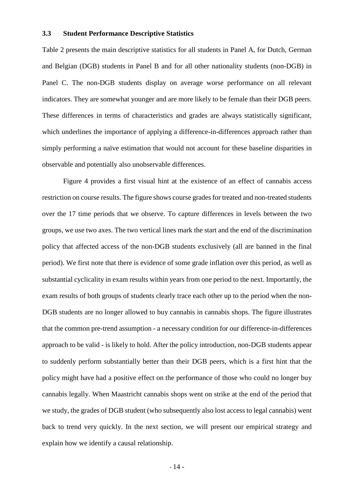#### **3.3 Student Performance Descriptive Statistics**

Table 2 presents the main descriptive statistics for all students in Panel A, for Dutch, German and Belgian (DGB) students in Panel B and for all other nationality students (non-DGB) in Panel C. The non-DGB students display on average worse performance on all relevant indicators. They are somewhat younger and are more likely to be female than their DGB peers. These differences in terms of characteristics and grades are always statistically significant, which underlines the importance of applying a difference-in-differences approach rather than simply performing a naïve estimation that would not account for these baseline disparities in observable and potentially also unobservable differences.

Figure 4 provides a first visual hint at the existence of an effect of cannabis access restriction on course results. The figure shows course grades for treated and non-treated students over the 17 time periods that we observe. To capture differences in levels between the two groups, we use two axes. The two vertical lines mark the start and the end of the discrimination policy that affected access of the non-DGB students exclusively (all are banned in the final period). We first note that there is evidence of some grade inflation over this period, as well as substantial cyclicality in exam results within years from one period to the next. Importantly, the exam results of both groups of students clearly trace each other up to the period when the non-DGB students are no longer allowed to buy cannabis in cannabis shops. The figure illustrates that the common pre-trend assumption - a necessary condition for our difference-in-differences approach to be valid - is likely to hold. After the policy introduction, non-DGB students appear to suddenly perform substantially better than their DGB peers, which is a first hint that the policy might have had a positive effect on the performance of those who could no longer buy cannabis legally. When Maastricht cannabis shops went on strike at the end of the period that we study, the grades of DGB student (who subsequently also lost access to legal cannabis) went back to trend very quickly. In the next section, we will present our empirical strategy and explain how we identify a causal relationship.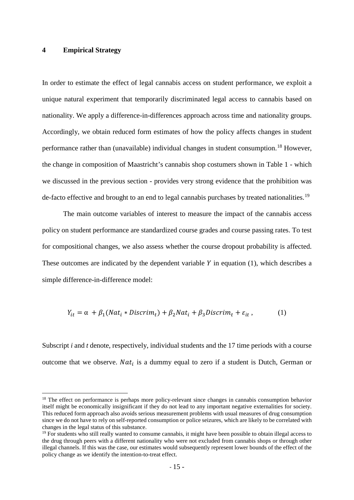#### **4 Empirical Strategy**

**.** 

In order to estimate the effect of legal cannabis access on student performance, we exploit a unique natural experiment that temporarily discriminated legal access to cannabis based on nationality. We apply a difference-in-differences approach across time and nationality groups. Accordingly, we obtain reduced form estimates of how the policy affects changes in student performance rather than (unavailable) individual changes in student consumption.<sup>[18](#page-14-0)</sup> However, the change in composition of Maastricht's cannabis shop costumers shown in Table 1 - which we discussed in the previous section - provides very strong evidence that the prohibition was de-facto effective and brought to an end to legal cannabis purchases by treated nationalities.<sup>[19](#page-14-1)</sup>

The main outcome variables of interest to measure the impact of the cannabis access policy on student performance are standardized course grades and course passing rates. To test for compositional changes, we also assess whether the course dropout probability is affected. These outcomes are indicated by the dependent variable  $Y$  in equation (1), which describes a simple difference-in-difference model:

$$
Y_{it} = \alpha + \beta_1(Nat_i * Discrim_t) + \beta_2 Nat_i + \beta_3 Discrim_t + \varepsilon_{it}, \qquad (1)
$$

Subscript *i* and *t* denote, respectively, individual students and the 17 time periods with a course outcome that we observe.  $Nat<sub>i</sub>$  is a dummy equal to zero if a student is Dutch, German or

<span id="page-14-0"></span><sup>&</sup>lt;sup>18</sup> The effect on performance is perhaps more policy-relevant since changes in cannabis consumption behavior itself might be economically insignificant if they do not lead to any important negative externalities for society. This reduced form approach also avoids serious measurement problems with usual measures of drug consumption since we do not have to rely on self-reported consumption or police seizures, which are likely to be correlated with changes in the legal status of this substance.

<span id="page-14-1"></span><sup>&</sup>lt;sup>19</sup> For students who still really wanted to consume cannabis, it might have been possible to obtain illegal access to the drug through peers with a different nationality who were not excluded from cannabis shops or through other illegal channels. If this was the case, our estimates would subsequently represent lower bounds of the effect of the policy change as we identify the intention-to-treat effect.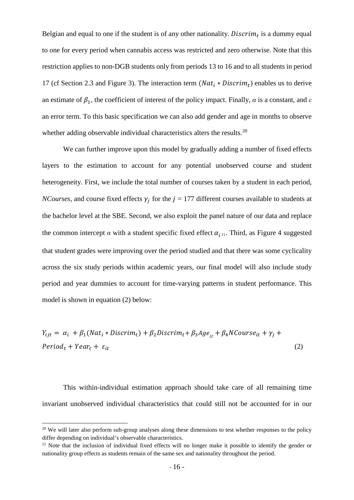Belgian and equal to one if the student is of any other nationality. *Discrim<sub>t</sub>* is a dummy equal to one for every period when cannabis access was restricted and zero otherwise. Note that this restriction applies to non-DGB students only from periods 13 to 16 and to all students in period 17 (cf Section 2.3 and Figure 3). The interaction term  $(Nat_i * Distrim_t)$  enables us to derive an estimate of  $\beta_1$ , the coefficient of interest of the policy impact. Finally,  $\alpha$  is a constant, and  $\varepsilon$ an error term. To this basic specification we can also add gender and age in months to observe whether adding observable individual characteristics alters the results.<sup>[20](#page-15-0)</sup>

We can further improve upon this model by gradually adding a number of fixed effects layers to the estimation to account for any potential unobserved course and student heterogeneity. First, we include the total number of courses taken by a student in each period, *NCourses*, and course fixed effects  $\gamma_i$  for the  $j = 177$  different courses available to students at the bachelor level at the SBE. Second, we also exploit the panel nature of our data and replace the common intercept  $\alpha$  with a student specific fixed effect  $\alpha_{i}$ <sub>21</sub>. Third, as Figure 4 suggested that student grades were improving over the period studied and that there was some cyclicality across the six study periods within academic years, our final model will also include study period and year dummies to account for time-varying patterns in student performance. This model is shown in equation (2) below:

$$
Y_{ijt} = \alpha_i + \beta_1(Nat_i * Discrim_t) + \beta_2Discrim_t + \beta_3Age_{it} + \beta_4 NCourse_{it} + \gamma_j +
$$
  

$$
Period_t + Year_t + \varepsilon_{it}
$$
 (2)

This within-individual estimation approach should take care of all remaining time invariant unobserved individual characteristics that could still not be accounted for in our

**.** 

<span id="page-15-0"></span><sup>&</sup>lt;sup>20</sup> We will later also perform sub-group analyses along these dimensions to test whether responses to the policy differ depending on individual's observable characteristics.

 $^{21}$  Note that the inclusion of individual fixed effects will no longer make it possible to identify the gender or nationality group effects as students remain of the same sex and nationality throughout the period.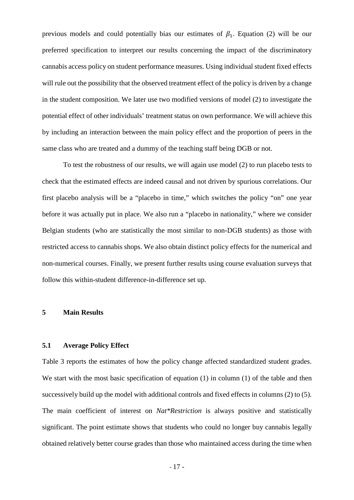previous models and could potentially bias our estimates of  $\beta_1$ . Equation (2) will be our preferred specification to interpret our results concerning the impact of the discriminatory cannabis access policy on student performance measures. Using individual student fixed effects will rule out the possibility that the observed treatment effect of the policy is driven by a change in the student composition. We later use two modified versions of model (2) to investigate the potential effect of other individuals' treatment status on own performance. We will achieve this by including an interaction between the main policy effect and the proportion of peers in the same class who are treated and a dummy of the teaching staff being DGB or not.

To test the robustness of our results, we will again use model (2) to run placebo tests to check that the estimated effects are indeed causal and not driven by spurious correlations. Our first placebo analysis will be a "placebo in time," which switches the policy "on" one year before it was actually put in place. We also run a "placebo in nationality," where we consider Belgian students (who are statistically the most similar to non-DGB students) as those with restricted access to cannabis shops. We also obtain distinct policy effects for the numerical and non-numerical courses. Finally, we present further results using course evaluation surveys that follow this within-student difference-in-difference set up.

## **5 Main Results**

#### **5.1 Average Policy Effect**

Table 3 reports the estimates of how the policy change affected standardized student grades. We start with the most basic specification of equation (1) in column (1) of the table and then successively build up the model with additional controls and fixed effects in columns (2) to (5). The main coefficient of interest on *Nat\*Restriction* is always positive and statistically significant. The point estimate shows that students who could no longer buy cannabis legally obtained relatively better course grades than those who maintained access during the time when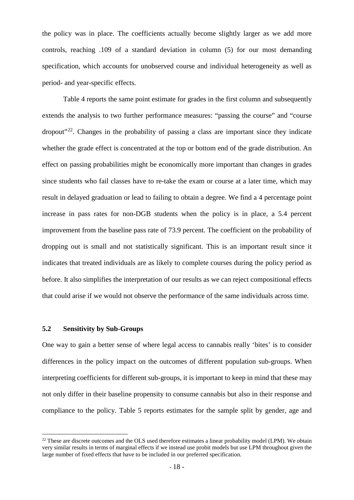the policy was in place. The coefficients actually become slightly larger as we add more controls, reaching .109 of a standard deviation in column (5) for our most demanding specification, which accounts for unobserved course and individual heterogeneity as well as period- and year-specific effects.

Table 4 reports the same point estimate for grades in the first column and subsequently extends the analysis to two further performance measures: "passing the course" and "course  $\alpha$  dropout<sup> $22$ </sup>. Changes in the probability of passing a class are important since they indicate whether the grade effect is concentrated at the top or bottom end of the grade distribution. An effect on passing probabilities might be economically more important than changes in grades since students who fail classes have to re-take the exam or course at a later time, which may result in delayed graduation or lead to failing to obtain a degree. We find a 4 percentage point increase in pass rates for non-DGB students when the policy is in place, a 5.4 percent improvement from the baseline pass rate of 73.9 percent. The coefficient on the probability of dropping out is small and not statistically significant. This is an important result since it indicates that treated individuals are as likely to complete courses during the policy period as before. It also simplifies the interpretation of our results as we can reject compositional effects that could arise if we would not observe the performance of the same individuals across time.

#### **5.2 Sensitivity by Sub-Groups**

**.** 

One way to gain a better sense of where legal access to cannabis really 'bites' is to consider differences in the policy impact on the outcomes of different population sub-groups. When interpreting coefficients for different sub-groups, it is important to keep in mind that these may not only differ in their baseline propensity to consume cannabis but also in their response and compliance to the policy. Table 5 reports estimates for the sample split by gender, age and

<span id="page-17-0"></span><sup>&</sup>lt;sup>22</sup> These are discrete outcomes and the OLS used therefore estimates a linear probability model (LPM). We obtain very similar results in terms of marginal effects if we instead use probit models but use LPM throughout given the large number of fixed effects that have to be included in our preferred specification.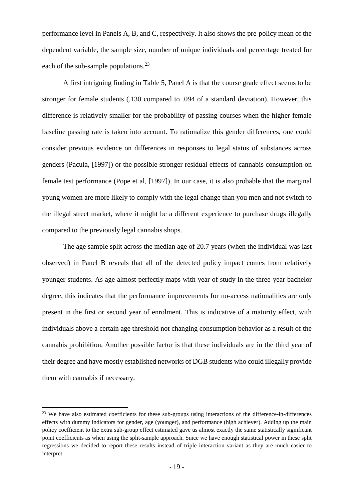performance level in Panels A, B, and C, respectively. It also shows the pre-policy mean of the dependent variable, the sample size, number of unique individuals and percentage treated for each of the sub-sample populations.<sup>[23](#page-18-0)</sup>

A first intriguing finding in Table 5, Panel A is that the course grade effect seems to be stronger for female students (.130 compared to .094 of a standard deviation). However, this difference is relatively smaller for the probability of passing courses when the higher female baseline passing rate is taken into account. To rationalize this gender differences, one could consider previous evidence on differences in responses to legal status of substances across genders (Pacula, [1997]) or the possible stronger residual effects of cannabis consumption on female test performance (Pope et al, [1997]). In our case, it is also probable that the marginal young women are more likely to comply with the legal change than you men and not switch to the illegal street market, where it might be a different experience to purchase drugs illegally compared to the previously legal cannabis shops.

The age sample split across the median age of 20.7 years (when the individual was last observed) in Panel B reveals that all of the detected policy impact comes from relatively younger students. As age almost perfectly maps with year of study in the three-year bachelor degree, this indicates that the performance improvements for no-access nationalities are only present in the first or second year of enrolment. This is indicative of a maturity effect, with individuals above a certain age threshold not changing consumption behavior as a result of the cannabis prohibition. Another possible factor is that these individuals are in the third year of their degree and have mostly established networks of DGB students who could illegally provide them with cannabis if necessary.

1

<span id="page-18-0"></span><sup>&</sup>lt;sup>23</sup> We have also estimated coefficients for these sub-groups using interactions of the difference-in-differences effects with dummy indicators for gender, age (younger), and performance (high achiever). Adding up the main policy coefficient to the extra sub-group effect estimated gave us almost exactly the same statistically significant point coefficients as when using the split-sample approach. Since we have enough statistical power in these split regressions we decided to report these results instead of triple interaction variant as they are much easier to interpret.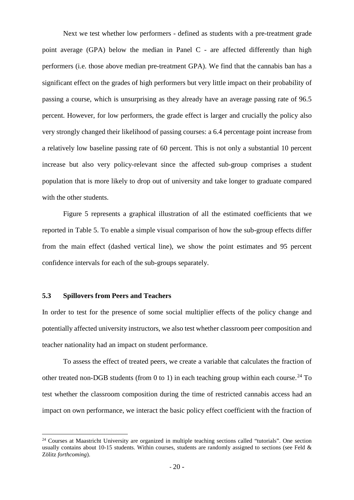Next we test whether low performers - defined as students with a pre-treatment grade point average (GPA) below the median in Panel C - are affected differently than high performers (i.e. those above median pre-treatment GPA). We find that the cannabis ban has a significant effect on the grades of high performers but very little impact on their probability of passing a course, which is unsurprising as they already have an average passing rate of 96.5 percent. However, for low performers, the grade effect is larger and crucially the policy also very strongly changed their likelihood of passing courses: a 6.4 percentage point increase from a relatively low baseline passing rate of 60 percent. This is not only a substantial 10 percent increase but also very policy-relevant since the affected sub-group comprises a student population that is more likely to drop out of university and take longer to graduate compared with the other students.

Figure 5 represents a graphical illustration of all the estimated coefficients that we reported in Table 5. To enable a simple visual comparison of how the sub-group effects differ from the main effect (dashed vertical line), we show the point estimates and 95 percent confidence intervals for each of the sub-groups separately.

## **5.3 Spillovers from Peers and Teachers**

**.** 

In order to test for the presence of some social multiplier effects of the policy change and potentially affected university instructors, we also test whether classroom peer composition and teacher nationality had an impact on student performance.

To assess the effect of treated peers, we create a variable that calculates the fraction of other treated non-DGB students (from 0 to 1) in each teaching group within each course.<sup>[24](#page-19-0)</sup> To test whether the classroom composition during the time of restricted cannabis access had an impact on own performance, we interact the basic policy effect coefficient with the fraction of

<span id="page-19-0"></span><sup>&</sup>lt;sup>24</sup> Courses at Maastricht University are organized in multiple teaching sections called "tutorials". One section usually contains about 10-15 students. Within courses, students are randomly assigned to sections (see Feld & Zölitz *forthcoming*).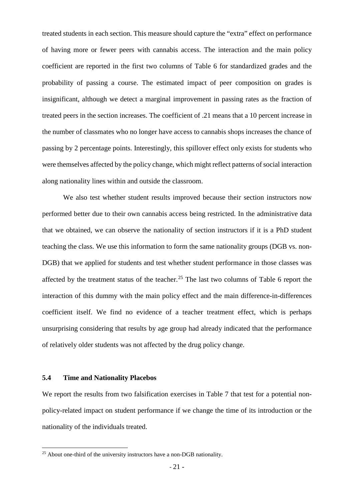treated students in each section. This measure should capture the "extra" effect on performance of having more or fewer peers with cannabis access. The interaction and the main policy coefficient are reported in the first two columns of Table 6 for standardized grades and the probability of passing a course. The estimated impact of peer composition on grades is insignificant, although we detect a marginal improvement in passing rates as the fraction of treated peers in the section increases. The coefficient of .21 means that a 10 percent increase in the number of classmates who no longer have access to cannabis shops increases the chance of passing by 2 percentage points. Interestingly, this spillover effect only exists for students who were themselves affected by the policy change, which might reflect patterns of social interaction along nationality lines within and outside the classroom.

We also test whether student results improved because their section instructors now performed better due to their own cannabis access being restricted. In the administrative data that we obtained, we can observe the nationality of section instructors if it is a PhD student teaching the class. We use this information to form the same nationality groups (DGB vs. non-DGB) that we applied for students and test whether student performance in those classes was affected by the treatment status of the teacher.<sup>[25](#page-20-0)</sup> The last two columns of Table 6 report the interaction of this dummy with the main policy effect and the main difference-in-differences coefficient itself. We find no evidence of a teacher treatment effect, which is perhaps unsurprising considering that results by age group had already indicated that the performance of relatively older students was not affected by the drug policy change.

## **5.4 Time and Nationality Placebos**

**.** 

We report the results from two falsification exercises in Table 7 that test for a potential nonpolicy-related impact on student performance if we change the time of its introduction or the nationality of the individuals treated.

<span id="page-20-0"></span> $25$  About one-third of the university instructors have a non-DGB nationality.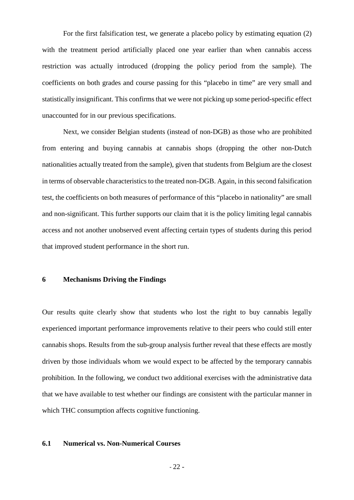For the first falsification test, we generate a placebo policy by estimating equation (2) with the treatment period artificially placed one year earlier than when cannabis access restriction was actually introduced (dropping the policy period from the sample). The coefficients on both grades and course passing for this "placebo in time" are very small and statistically insignificant. This confirms that we were not picking up some period-specific effect unaccounted for in our previous specifications.

Next, we consider Belgian students (instead of non-DGB) as those who are prohibited from entering and buying cannabis at cannabis shops (dropping the other non-Dutch nationalities actually treated from the sample), given that students from Belgium are the closest in terms of observable characteristics to the treated non-DGB. Again, in this second falsification test, the coefficients on both measures of performance of this "placebo in nationality" are small and non-significant. This further supports our claim that it is the policy limiting legal cannabis access and not another unobserved event affecting certain types of students during this period that improved student performance in the short run.

## **6 Mechanisms Driving the Findings**

Our results quite clearly show that students who lost the right to buy cannabis legally experienced important performance improvements relative to their peers who could still enter cannabis shops. Results from the sub-group analysis further reveal that these effects are mostly driven by those individuals whom we would expect to be affected by the temporary cannabis prohibition. In the following, we conduct two additional exercises with the administrative data that we have available to test whether our findings are consistent with the particular manner in which THC consumption affects cognitive functioning.

#### **6.1 Numerical vs. Non-Numerical Courses**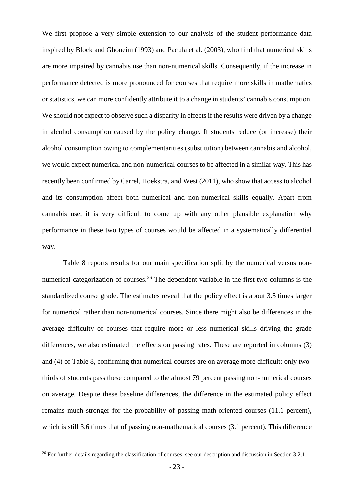We first propose a very simple extension to our analysis of the student performance data inspired by Block and Ghoneim (1993) and Pacula et al. (2003), who find that numerical skills are more impaired by cannabis use than non-numerical skills. Consequently, if the increase in performance detected is more pronounced for courses that require more skills in mathematics or statistics, we can more confidently attribute it to a change in students' cannabis consumption. We should not expect to observe such a disparity in effects if the results were driven by a change in alcohol consumption caused by the policy change. If students reduce (or increase) their alcohol consumption owing to complementarities (substitution) between cannabis and alcohol, we would expect numerical and non-numerical courses to be affected in a similar way. This has recently been confirmed by Carrel, Hoekstra, and West (2011), who show that access to alcohol and its consumption affect both numerical and non-numerical skills equally. Apart from cannabis use, it is very difficult to come up with any other plausible explanation why performance in these two types of courses would be affected in a systematically differential way.

Table 8 reports results for our main specification split by the numerical versus non-numerical categorization of courses.<sup>[26](#page-22-0)</sup> The dependent variable in the first two columns is the standardized course grade. The estimates reveal that the policy effect is about 3.5 times larger for numerical rather than non-numerical courses. Since there might also be differences in the average difficulty of courses that require more or less numerical skills driving the grade differences, we also estimated the effects on passing rates. These are reported in columns (3) and (4) of Table 8, confirming that numerical courses are on average more difficult: only twothirds of students pass these compared to the almost 79 percent passing non-numerical courses on average. Despite these baseline differences, the difference in the estimated policy effect remains much stronger for the probability of passing math-oriented courses (11.1 percent), which is still 3.6 times that of passing non-mathematical courses (3.1 percent). This difference

**.** 

<span id="page-22-0"></span> $26$  For further details regarding the classification of courses, see our description and discussion in Section 3.2.1.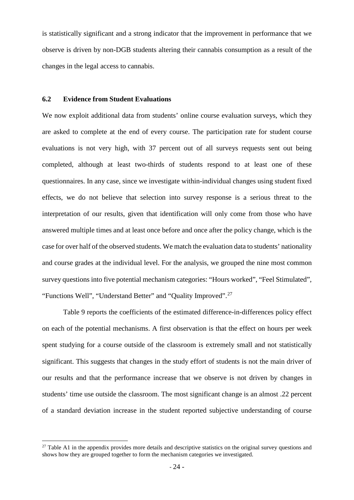is statistically significant and a strong indicator that the improvement in performance that we observe is driven by non-DGB students altering their cannabis consumption as a result of the changes in the legal access to cannabis.

## **6.2 Evidence from Student Evaluations**

 $\overline{a}$ 

We now exploit additional data from students' online course evaluation surveys, which they are asked to complete at the end of every course. The participation rate for student course evaluations is not very high, with 37 percent out of all surveys requests sent out being completed, although at least two-thirds of students respond to at least one of these questionnaires. In any case, since we investigate within-individual changes using student fixed effects, we do not believe that selection into survey response is a serious threat to the interpretation of our results, given that identification will only come from those who have answered multiple times and at least once before and once after the policy change, which is the case for over half of the observed students. We match the evaluation data to students' nationality and course grades at the individual level. For the analysis, we grouped the nine most common survey questions into five potential mechanism categories: "Hours worked", "Feel Stimulated", "Functions Well", "Understand Better" and "Quality Improved".<sup>[27](#page-23-0)</sup>

Table 9 reports the coefficients of the estimated difference-in-differences policy effect on each of the potential mechanisms. A first observation is that the effect on hours per week spent studying for a course outside of the classroom is extremely small and not statistically significant. This suggests that changes in the study effort of students is not the main driver of our results and that the performance increase that we observe is not driven by changes in students' time use outside the classroom. The most significant change is an almost .22 percent of a standard deviation increase in the student reported subjective understanding of course

<span id="page-23-0"></span> $27$  Table A1 in the appendix provides more details and descriptive statistics on the original survey questions and shows how they are grouped together to form the mechanism categories we investigated.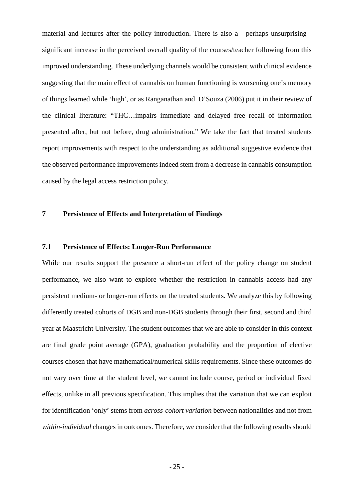material and lectures after the policy introduction. There is also a - perhaps unsurprising significant increase in the perceived overall quality of the courses/teacher following from this improved understanding. These underlying channels would be consistent with clinical evidence suggesting that the main effect of cannabis on human functioning is worsening one's memory of things learned while 'high', or as [Ranganathan](http://link.springer.com/search?facet-author=%22Mohini+Ranganathan%22) and [D'Souza](http://link.springer.com/search?facet-author=%22Deepak+Cyril+D%E2%80%99Souza%22) (2006) put it in their review of the clinical literature: "THC…impairs immediate and delayed free recall of information presented after, but not before, drug administration." We take the fact that treated students report improvements with respect to the understanding as additional suggestive evidence that the observed performance improvements indeed stem from a decrease in cannabis consumption caused by the legal access restriction policy.

# **7 Persistence of Effects and Interpretation of Findings**

## **7.1 Persistence of Effects: Longer-Run Performance**

While our results support the presence a short-run effect of the policy change on student performance, we also want to explore whether the restriction in cannabis access had any persistent medium- or longer-run effects on the treated students. We analyze this by following differently treated cohorts of DGB and non-DGB students through their first, second and third year at Maastricht University. The student outcomes that we are able to consider in this context are final grade point average (GPA), graduation probability and the proportion of elective courses chosen that have mathematical/numerical skills requirements. Since these outcomes do not vary over time at the student level, we cannot include course, period or individual fixed effects, unlike in all previous specification. This implies that the variation that we can exploit for identification 'only' stems from *across-cohort variation* between nationalities and not from *within-individual* changes in outcomes. Therefore, we consider that the following results should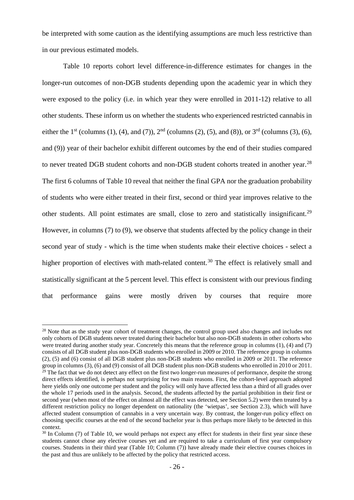be interpreted with some caution as the identifying assumptions are much less restrictive than in our previous estimated models.

Table 10 reports cohort level difference-in-difference estimates for changes in the longer-run outcomes of non-DGB students depending upon the academic year in which they were exposed to the policy (i.e. in which year they were enrolled in 2011-12) relative to all other students. These inform us on whether the students who experienced restricted cannabis in either the 1<sup>st</sup> (columns (1), (4), and (7)),  $2<sup>nd</sup>$  (columns (2), (5), and (8)), or  $3<sup>rd</sup>$  (columns (3), (6), and (9)) year of their bachelor exhibit different outcomes by the end of their studies compared to never treated DGB student cohorts and non-DGB student cohorts treated in another year.<sup>[28](#page-25-0)</sup> The first 6 columns of Table 10 reveal that neither the final GPA nor the graduation probability of students who were either treated in their first, second or third year improves relative to the other students. All point estimates are small, close to zero and statistically insignificant.[29](#page-25-1) However, in columns (7) to (9), we observe that students affected by the policy change in their second year of study - which is the time when students make their elective choices - select a higher proportion of electives with math-related content.<sup>[30](#page-25-2)</sup> The effect is relatively small and statistically significant at the 5 percent level. This effect is consistent with our previous finding that performance gains were mostly driven by courses that require more

**.** 

<span id="page-25-1"></span><span id="page-25-0"></span><sup>&</sup>lt;sup>28</sup> Note that as the study year cohort of treatment changes, the control group used also changes and includes not only cohorts of DGB students never treated during their bachelor but also non-DGB students in other cohorts who were treated during another study year. Concretely this means that the reference group in columns (1), (4) and (7) consists of all DGB student plus non-DGB students who enrolled in 2009 or 2010. The reference group in columns (2), (5) and (6) consist of all DGB student plus non-DGB students who enrolled in 2009 or 2011. The reference group in columns (3), (6) and (9) consist of all DGB student plus non-DGB students who enrolled in 2010 or 2011.<br><sup>29</sup> The fact that we do not detect any effect on the first two longer-run measures of performance, despite direct effects identified, is perhaps not surprising for two main reasons. First, the cohort-level approach adopted here yields only one outcome per student and the policy will only have affected less than a third of all grades over the whole 17 periods used in the analysis. Second, the students affected by the partial prohibition in their first or second year (when most of the effect on almost all the effect was detected, see Section 5.2) were then treated by a different restriction policy no longer dependent on nationality (the 'wietpas', see Section 2.3), which will have affected student consumption of cannabis in a very uncertain way. By contrast, the longer-run policy effect on choosing specific courses at the end of the second bachelor year is thus perhaps more likely to be detected in this context.

<span id="page-25-2"></span><sup>&</sup>lt;sup>30</sup> In Column (7) of Table 10, we would perhaps not expect any effect for students in their first year since these students cannot chose any elective courses yet and are required to take a curriculum of first year compulsory courses. Students in their third year (Table 10; Column (7)) have already made their elective courses choices in the past and thus are unlikely to be affected by the policy that restricted access.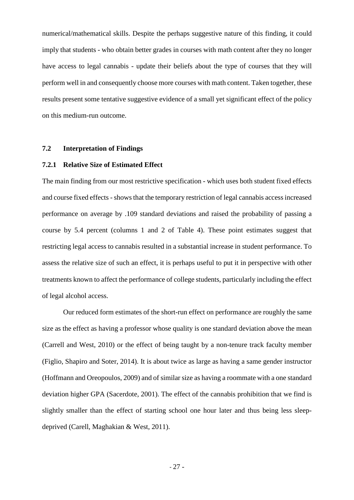numerical/mathematical skills. Despite the perhaps suggestive nature of this finding, it could imply that students - who obtain better grades in courses with math content after they no longer have access to legal cannabis - update their beliefs about the type of courses that they will perform well in and consequently choose more courses with math content. Taken together, these results present some tentative suggestive evidence of a small yet significant effect of the policy on this medium-run outcome.

#### **7.2 Interpretation of Findings**

#### **7.2.1 Relative Size of Estimated Effect**

The main finding from our most restrictive specification - which uses both student fixed effects and course fixed effects - shows that the temporary restriction of legal cannabis access increased performance on average by .109 standard deviations and raised the probability of passing a course by 5.4 percent (columns 1 and 2 of Table 4). These point estimates suggest that restricting legal access to cannabis resulted in a substantial increase in student performance. To assess the relative size of such an effect, it is perhaps useful to put it in perspective with other treatments known to affect the performance of college students, particularly including the effect of legal alcohol access.

Our reduced form estimates of the short-run effect on performance are roughly the same size as the effect as having a professor whose quality is one standard deviation above the mean (Carrell and West, 2010) or the effect of being taught by a non-tenure track faculty member (Figlio, Shapiro and Soter, 2014). It is about twice as large as having a same gender instructor (Hoffmann and Oreopoulos, 2009) and of similar size as having a roommate with a one standard deviation higher GPA (Sacerdote, 2001). The effect of the cannabis prohibition that we find is slightly smaller than the effect of starting school one hour later and thus being less sleepdeprived (Carell, Maghakian & West, 2011).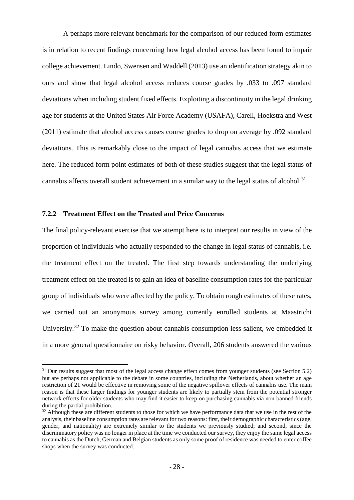A perhaps more relevant benchmark for the comparison of our reduced form estimates is in relation to recent findings concerning how legal alcohol access has been found to impair college achievement. Lindo, Swensen and Waddell (2013) use an identification strategy akin to ours and show that legal alcohol access reduces course grades by .033 to .097 standard deviations when including student fixed effects. Exploiting a discontinuity in the legal drinking age for students at the United States Air Force Academy (USAFA), Carell, Hoekstra and West (2011) estimate that alcohol access causes course grades to drop on average by .092 standard deviations. This is remarkably close to the impact of legal cannabis access that we estimate here. The reduced form point estimates of both of these studies suggest that the legal status of cannabis affects overall student achievement in a similar way to the legal status of alcohol.<sup>[31](#page-27-0)</sup>

# **7.2.2 Treatment Effect on the Treated and Price Concerns**

**.** 

The final policy-relevant exercise that we attempt here is to interpret our results in view of the proportion of individuals who actually responded to the change in legal status of cannabis, i.e. the treatment effect on the treated. The first step towards understanding the underlying treatment effect on the treated is to gain an idea of baseline consumption rates for the particular group of individuals who were affected by the policy. To obtain rough estimates of these rates, we carried out an anonymous survey among currently enrolled students at Maastricht University.<sup>[32](#page-27-1)</sup> To make the question about cannabis consumption less salient, we embedded it in a more general questionnaire on risky behavior. Overall, 206 students answered the various

<span id="page-27-0"></span> $31$  Our results suggest that most of the legal access change effect comes from younger students (see Section 5.2) but are perhaps not applicable to the debate in some countries, including the Netherlands, about whether an age restriction of 21 would be effective in removing some of the negative spillover effects of cannabis use. The main reason is that these larger findings for younger students are likely to partially stem from the potential stronger network effects for older students who may find it easier to keep on purchasing cannabis via non-banned friends during the partial prohibition.

<span id="page-27-1"></span> $32$  Although these are different students to those for which we have performance data that we use in the rest of the analysis, their baseline consumption rates are relevant for two reasons: first, their demographic characteristics (age, gender, and nationality) are extremely similar to the students we previously studied; and second, since the discriminatory policy was no longer in place at the time we conducted our survey, they enjoy the same legal access to cannabis as the Dutch, German and Belgian students as only some proof of residence was needed to enter coffee shops when the survey was conducted.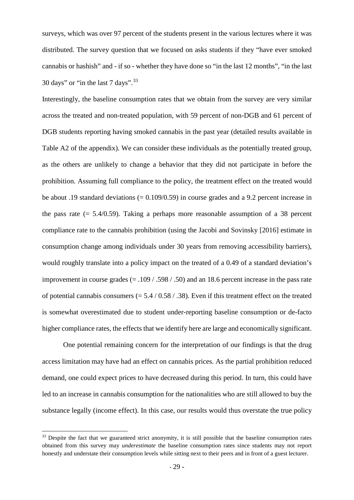surveys, which was over 97 percent of the students present in the various lectures where it was distributed. The survey question that we focused on asks students if they "have ever smoked cannabis or hashish" and - if so - whether they have done so "in the last 12 months", "in the last 30 days" or "in the last 7 days".<sup>[33](#page-28-0)</sup>

Interestingly, the baseline consumption rates that we obtain from the survey are very similar across the treated and non-treated population, with 59 percent of non-DGB and 61 percent of DGB students reporting having smoked cannabis in the past year (detailed results available in Table A2 of the appendix). We can consider these individuals as the potentially treated group, as the others are unlikely to change a behavior that they did not participate in before the prohibition. Assuming full compliance to the policy, the treatment effect on the treated would be about .19 standard deviations (= 0.109/0.59) in course grades and a 9.2 percent increase in the pass rate  $(= 5.4/0.59)$ . Taking a perhaps more reasonable assumption of a 38 percent compliance rate to the cannabis prohibition (using the Jacobi and Sovinsky [2016] estimate in consumption change among individuals under 30 years from removing accessibility barriers), would roughly translate into a policy impact on the treated of a 0.49 of a standard deviation's improvement in course grades (= .109 / .598 / .50) and an 18.6 percent increase in the pass rate of potential cannabis consumers  $(= 5.4 / 0.58 / .38)$ . Even if this treatment effect on the treated is somewhat overestimated due to student under-reporting baseline consumption or de-facto higher compliance rates, the effects that we identify here are large and economically significant.

One potential remaining concern for the interpretation of our findings is that the drug access limitation may have had an effect on cannabis prices. As the partial prohibition reduced demand, one could expect prices to have decreased during this period. In turn, this could have led to an increase in cannabis consumption for the nationalities who are still allowed to buy the substance legally (income effect). In this case, our results would thus overstate the true policy

**.** 

<span id="page-28-0"></span><sup>&</sup>lt;sup>33</sup> Despite the fact that we guaranteed strict anonymity, it is still possible that the baseline consumption rates obtained from this survey may *underestimate* the baseline consumption rates since students may not report honestly and understate their consumption levels while sitting next to their peers and in front of a guest lecturer.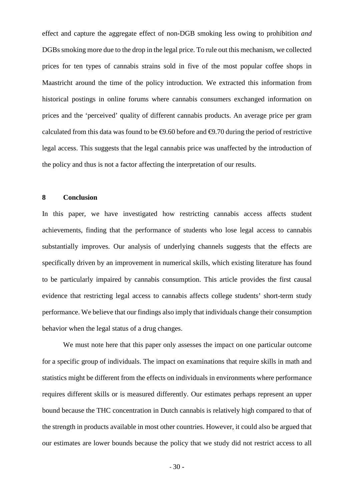effect and capture the aggregate effect of non-DGB smoking less owing to prohibition *and* DGBs smoking more due to the drop in the legal price. To rule out this mechanism, we collected prices for ten types of cannabis strains sold in five of the most popular coffee shops in Maastricht around the time of the policy introduction. We extracted this information from historical postings in online forums where cannabis consumers exchanged information on prices and the 'perceived' quality of different cannabis products. An average price per gram calculated from this data was found to be  $\Theta$ .60 before and  $\Theta$ .70 during the period of restrictive legal access. This suggests that the legal cannabis price was unaffected by the introduction of the policy and thus is not a factor affecting the interpretation of our results.

#### **8 Conclusion**

In this paper, we have investigated how restricting cannabis access affects student achievements, finding that the performance of students who lose legal access to cannabis substantially improves. Our analysis of underlying channels suggests that the effects are specifically driven by an improvement in numerical skills, which existing literature has found to be particularly impaired by cannabis consumption. This article provides the first causal evidence that restricting legal access to cannabis affects college students' short-term study performance. We believe that our findings also imply that individuals change their consumption behavior when the legal status of a drug changes.

We must note here that this paper only assesses the impact on one particular outcome for a specific group of individuals. The impact on examinations that require skills in math and statistics might be different from the effects on individuals in environments where performance requires different skills or is measured differently. Our estimates perhaps represent an upper bound because the THC concentration in Dutch cannabis is relatively high compared to that of the strength in products available in most other countries. However, it could also be argued that our estimates are lower bounds because the policy that we study did not restrict access to all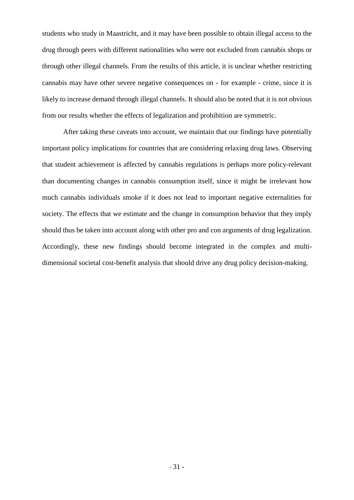students who study in Maastricht, and it may have been possible to obtain illegal access to the drug through peers with different nationalities who were not excluded from cannabis shops or through other illegal channels. From the results of this article, it is unclear whether restricting cannabis may have other severe negative consequences on - for example - crime, since it is likely to increase demand through illegal channels. It should also be noted that it is not obvious from our results whether the effects of legalization and prohibition are symmetric.

After taking these caveats into account, we maintain that our findings have potentially important policy implications for countries that are considering relaxing drug laws. Observing that student achievement is affected by cannabis regulations is perhaps more policy-relevant than documenting changes in cannabis consumption itself, since it might be irrelevant how much cannabis individuals smoke if it does not lead to important negative externalities for society. The effects that we estimate and the change in consumption behavior that they imply should thus be taken into account along with other pro and con arguments of drug legalization. Accordingly, these new findings should become integrated in the complex and multidimensional societal cost-benefit analysis that should drive any drug policy decision-making.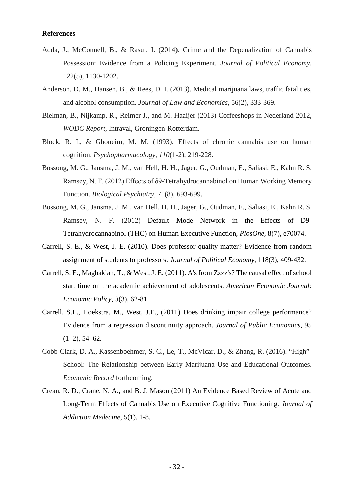#### **References**

- Adda, J., McConnell, B., & Rasul, I. (2014). Crime and the Depenalization of Cannabis Possession: Evidence from a Policing Experiment. *Journal of Political Economy,*  122(5), 1130-1202.
- Anderson, D. M., Hansen, B., & Rees, D. I. (2013). Medical marijuana laws, traffic fatalities, and alcohol consumption. *Journal of Law and Economics*, 56(2), 333-369.
- Bielman, B., Nijkamp, R., Reimer J., and M. Haaijer (2013) Coffeeshops in Nederland 2012, *WODC Report*, Intraval, Groningen-Rotterdam.
- Block, R. I., & Ghoneim, M. M. (1993). Effects of chronic cannabis use on human cognition. *Psychopharmacology*, *110*(1-2), 219-228.
- Bossong, M. G., Jansma, J. M., van Hell, H. H., Jager, G., Oudman, E., Saliasi, E., Kahn R. S. Ramsey, N. F. (2012) Effects of δ9-Tetrahydrocannabinol on Human Working Memory Function. *Biological Psychiatry*, 71(8), 693-699.
- Bossong, M. G., Jansma, J. M., van Hell, H. H., Jager, G., Oudman, E., Saliasi, E., Kahn R. S. Ramsey, N. F. (2012) Default Mode Network in the Effects of D9- Tetrahydrocannabinol (THC) on Human Executive Function, *PlosOne,* 8(7), e70074.
- Carrell, S. E., & West, J. E. (2010). Does professor quality matter? Evidence from random assignment of students to professors. *Journal of Political Economy*, 118(3), 409-432.
- Carrell, S. E., Maghakian, T., & West, J. E. (2011). A's from Zzzz's? The causal effect of school start time on the academic achievement of adolescents. *American Economic Journal: Economic Policy*, *3*(3), 62-81.
- Carrell, S.E., Hoekstra, M., West, J.E., (2011) Does drinking impair college performance? Evidence from a regression discontinuity approach. *Journal of Public Economics*, 95  $(1-2)$ , 54–62.
- Cobb-Clark, D. A., Kassenboehmer, S. C., Le, T., McVicar, D., & Zhang, R. (2016). "High"- School: The Relationship between Early Marijuana Use and Educational Outcomes. *Economic Record* forthcoming.
- Crean, R. D., Crane, N. A., and B. J. Mason (2011) An Evidence Based Review of Acute and Long-Term Effects of Cannabis Use on Executive Cognitive Functioning. *Journal of Addiction Medecine,* 5(1), 1-8.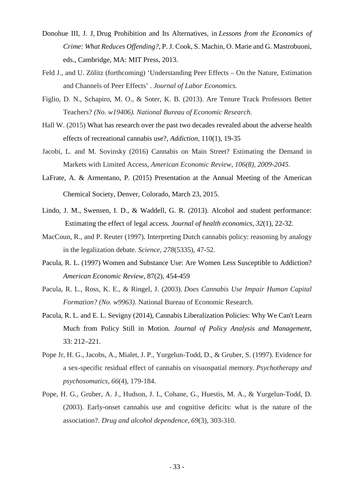- Donohue III, J. J, [Drug Prohibition and Its Alternatives](https://www.law.stanford.edu/publications/drug-prohibition-and-its-alternatives)*,* in *Lessons from the Economics of Crime: What Reduces Offending?*[, P. J. Cook, S. Machin, O. Marie and G. Mastrobuoni,](https://www.law.stanford.edu/publications/drug-prohibition-and-its-alternatives)  [eds., Cambridge, MA: MIT Press, 2013.](https://www.law.stanford.edu/publications/drug-prohibition-and-its-alternatives)
- Feld J., and U. Zölitz (forthcoming) 'Understanding Peer Effects On the Nature, Estimation and Channels of Peer Effects' . *Journal of Labor Economics.*
- Figlio, D. N., Schapiro, M. O., & Soter, K. B. (2013). Are Tenure Track Professors Better Teachers? *(No. w19406). National Bureau of Economic Research.*
- Hall W. (2015) What has research over the past two decades revealed about the adverse health effects of recreational cannabis use?, *Addiction*, 110(1), 19-35
- Jacobi, L. and M. Sovinsky (2016) Cannabis on Main Street? Estimating the Demand in Markets with Limited Access, *American Economic Review, 106(8), 2009-2045*.
- LaFrate, A. & Armentano, P. (2015) Presentation at the Annual Meeting of the American Chemical Society, Denver, Colorado, March 23, 2015.
- Lindo, J. M., Swensen, I. D., & Waddell, G. R. (2013). Alcohol and student performance: Estimating the effect of legal access. *Journal of health economics*, *32*(1), 22-32.
- MacCoun, R., and P. Reuter (1997). Interpreting Dutch cannabis policy: reasoning by analogy in the legalization debate. *Science*, *278*(5335), 47-52.
- Pacula, R. L. (1997) Women and Substance Use: Are Women Less Susceptible to Addiction? *American Economic Review*, 87(2), 454-459
- Pacula, R. L., Ross, K. E., & Ringel, J. (2003). *Does Cannabis Use Impair Human Capital Formation? (No. w9963)*. National Bureau of Economic Research.
- Pacula, R. L. and E. L. Sevigny (2014), Cannabis Liberalization Policies: Why We Can't Learn Much from Policy Still in Motion*. Journal of Policy Analysis and Management*, 33: 212–221.
- Pope Jr, H. G., Jacobs, A., Mialet, J. P., Yurgelun-Todd, D., & Gruber, S. (1997). Evidence for a sex-specific residual effect of cannabis on visuospatial memory. *Psychotherapy and psychosomatics*, *66*(4), 179-184.
- Pope, H. G., Gruber, A. J., Hudson, J. I., Cohane, G., Huestis, M. A., & Yurgelun-Todd, D. (2003). Early-onset cannabis use and cognitive deficits: what is the nature of the association?. *Drug and alcohol dependence*, *69*(3), 303-310.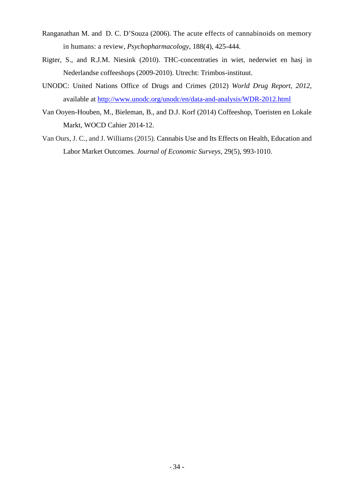- [Ranganathan](http://link.springer.com/search?facet-author=%22Mohini+Ranganathan%22) M. and [D. C. D'Souza](http://link.springer.com/search?facet-author=%22Deepak+Cyril+D%E2%80%99Souza%22) (2006). The acute effects of cannabinoids on memory in humans: a review, *[Psychopharmacology](http://link.springer.com/journal/213)*, 188(4), 425-444.
- Rigter, S., and R.J.M. Niesink (2010). THC-concentraties in wiet, nederwiet en hasj in Nederlandse coffeeshops (2009-2010). Utrecht: Trimbos-instituut.
- UNODC: United Nations Office of Drugs and Crimes (2012) *World Drug Report, 2012*, available at <http://www.unodc.org/unodc/en/data-and-analysis/WDR-2012.html>
- Van Ooyen-Houben, M., Bieleman, B., and D.J. Korf (2014) Coffeeshop, Toeristen en Lokale Markt, WOCD Cahier 2014-12.
- Van Ours, J. C., and J. Williams (2015). Cannabis Use and Its Effects on Health, Education and Labor Market Outcomes*. Journal of Economic Surveys,* 29(5), 993-1010.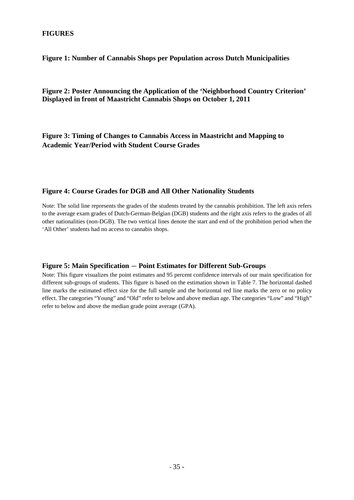# **FIGURES**

# **Figure 1: Number of Cannabis Shops per Population across Dutch Municipalities**

**Figure 2: Poster Announcing the Application of the 'Neighborhood Country Criterion' Displayed in front of Maastricht Cannabis Shops on October 1, 2011**

**Figure 3: Timing of Changes to Cannabis Access in Maastricht and Mapping to Academic Year/Period with Student Course Grades**

## **Figure 4: Course Grades for DGB and All Other Nationality Students**

Note: The solid line represents the grades of the students treated by the cannabis prohibition. The left axis refers to the average exam grades of Dutch-German-Belgian (DGB) students and the right axis refers to the grades of all other nationalities (non-DGB). The two vertical lines denote the start and end of the prohibition period when the 'All Other' students had no access to cannabis shops.

# **Figure 5: Main Specification** ― **Point Estimates for Different Sub-Groups**

Note: This figure visualizes the point estimates and 95 percent confidence intervals of our main specification for different sub-groups of students. This figure is based on the estimation shown in Table 7. The horizontal dashed line marks the estimated effect size for the full sample and the horizontal red line marks the zero or no policy effect. The categories "Young" and "Old" refer to below and above median age. The categories "Low" and "High" refer to below and above the median grade point average (GPA).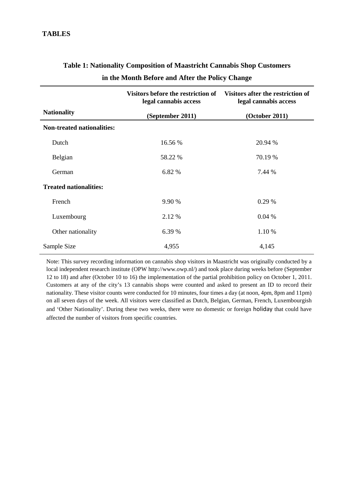|                                   | Visitors before the restriction of<br>legal cannabis access | Visitors after the restriction of<br>legal cannabis access |
|-----------------------------------|-------------------------------------------------------------|------------------------------------------------------------|
| <b>Nationality</b>                | (September 2011)                                            | (October 2011)                                             |
| <b>Non-treated nationalities:</b> |                                                             |                                                            |
| Dutch                             | 16.56 %                                                     | 20.94 %                                                    |
| Belgian                           | 58.22 %                                                     | 70.19 %                                                    |
| German                            | 6.82 %                                                      | 7.44 %                                                     |
| <b>Treated nationalities:</b>     |                                                             |                                                            |
| French                            | 9.90 %                                                      | 0.29 %                                                     |
| Luxembourg                        | 2.12 %                                                      | 0.04%                                                      |
| Other nationality                 | 6.39 %                                                      | 1.10 %                                                     |
| Sample Size                       | 4,955                                                       | 4,145                                                      |

# **Table 1: Nationality Composition of Maastricht Cannabis Shop Customers in the Month Before and After the Policy Change**

Note: This survey recording information on cannabis shop visitors in Maastricht was originally conducted by a local independent research institute (OPW http://www.owp.nl/) and took place during weeks before (September 12 to 18) and after (October 10 to 16) the implementation of the partial prohibition policy on October 1, 2011. Customers at any of the city's 13 cannabis shops were counted and asked to present an ID to record their nationality. These visitor counts were conducted for 10 minutes, four times a day (at noon, 4pm, 8pm and 11pm) on all seven days of the week. All visitors were classified as Dutch, Belgian, German, French, Luxembourgish and 'Other Nationality'. During these two weeks, there were no domestic or foreign holiday that could have affected the number of visitors from specific countries.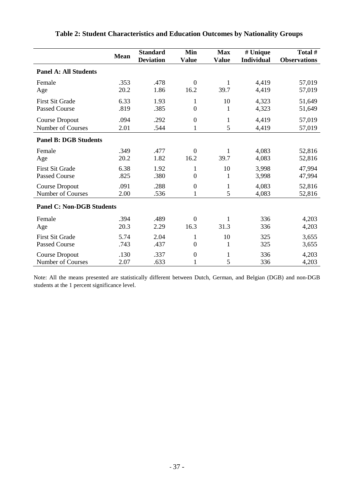|                                  | <b>Mean</b> | <b>Standard</b><br><b>Deviation</b> | Min<br><b>Value</b> | <b>Max</b><br><b>Value</b> | # Unique<br><b>Individual</b> | Total #<br><b>Observations</b> |  |
|----------------------------------|-------------|-------------------------------------|---------------------|----------------------------|-------------------------------|--------------------------------|--|
| <b>Panel A: All Students</b>     |             |                                     |                     |                            |                               |                                |  |
| Female                           | .353        | .478                                | $\overline{0}$      | 1                          | 4,419                         | 57,019                         |  |
| Age                              | 20.2        | 1.86                                | 16.2                | 39.7                       | 4,419                         | 57,019                         |  |
| <b>First Sit Grade</b>           | 6.33        | 1.93                                | 1                   | 10                         | 4,323                         | 51,649                         |  |
| <b>Passed Course</b>             | .819        | .385                                | $\overline{0}$      | 1                          | 4,323                         | 51,649                         |  |
| Course Dropout                   | .094        | .292                                | $\boldsymbol{0}$    | 1                          | 4,419                         | 57,019                         |  |
| Number of Courses                | 2.01        | .544                                | $\mathbf{1}$        | 5                          | 4,419                         | 57,019                         |  |
| <b>Panel B: DGB Students</b>     |             |                                     |                     |                            |                               |                                |  |
| Female                           | .349        | .477                                | $\theta$            | 1                          | 4,083                         | 52,816                         |  |
| Age                              | 20.2        | 1.82                                | 16.2                | 39.7                       | 4,083                         | 52,816                         |  |
| <b>First Sit Grade</b>           | 6.38        | 1.92                                | $\mathbf{1}$        | 10                         | 3,998                         | 47,994                         |  |
| <b>Passed Course</b>             | .825        | .380                                | $\boldsymbol{0}$    | 1                          | 3,998                         | 47,994                         |  |
| Course Dropout                   | .091        | .288                                | $\boldsymbol{0}$    | 1                          | 4,083                         | 52,816                         |  |
| Number of Courses                | 2.00        | .536                                | $\mathbf{1}$        | 5                          | 4,083                         | 52,816                         |  |
| <b>Panel C: Non-DGB Students</b> |             |                                     |                     |                            |                               |                                |  |
| Female                           | .394        | .489                                | $\overline{0}$      | 1                          | 336                           | 4,203                          |  |
| Age                              | 20.3        | 2.29                                | 16.3                | 31.3                       | 336                           | 4,203                          |  |
| <b>First Sit Grade</b>           | 5.74        | 2.04                                | $\mathbf{1}$        | 10                         | 325                           | 3,655                          |  |
| <b>Passed Course</b>             | .743        | .437                                | $\boldsymbol{0}$    | 1                          | 325                           | 3,655                          |  |
| <b>Course Dropout</b>            | .130        | .337                                | $\boldsymbol{0}$    | 1                          | 336                           | 4,203                          |  |
| <b>Number of Courses</b>         | 2.07        | .633                                | 1                   | 5                          | 336                           | 4,203                          |  |

# **Table 2: Student Characteristics and Education Outcomes by Nationality Groups**

Note: All the means presented are statistically different between Dutch, German, and Belgian (DGB) and non-DGB students at the 1 percent significance level.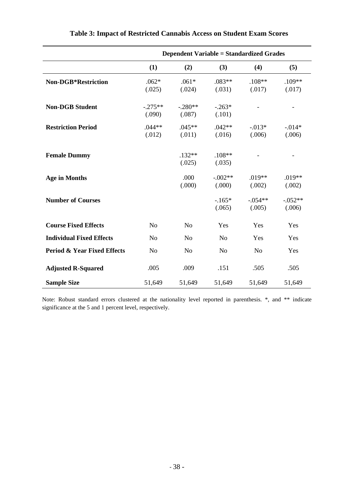|                                        | <b>Dependent Variable = Standardized Grades</b> |                     |                     |                     |                     |
|----------------------------------------|-------------------------------------------------|---------------------|---------------------|---------------------|---------------------|
|                                        | (1)                                             | (2)                 | (3)                 | (4)                 | (5)                 |
| <b>Non-DGB*Restriction</b>             | $.062*$<br>(.025)                               | $.061*$<br>(.024)   | $.083**$<br>(.031)  | $.108**$<br>(.017)  | .109**<br>(.017)    |
| <b>Non-DGB Student</b>                 | $-.275**$<br>(.090)                             | $-.280**$<br>(.087) | $-.263*$<br>(.101)  |                     |                     |
| <b>Restriction Period</b>              | $.044**$<br>(.012)                              | $.045**$<br>(.011)  | $.042**$<br>(.016)  | $-0.013*$<br>(.006) | $-0.014*$<br>(.006) |
| <b>Female Dummy</b>                    |                                                 | $.132**$<br>(.025)  | $.108**$<br>(.035)  |                     |                     |
| <b>Age in Months</b>                   |                                                 | .000<br>(.000)      | $-.002**$<br>(.000) | $.019**$<br>(.002)  | $.019**$<br>(.002)  |
| <b>Number of Courses</b>               |                                                 |                     | $-165*$<br>(.065)   | $-.054**$<br>(.005) | $-.052**$<br>(.006) |
| <b>Course Fixed Effects</b>            | N <sub>o</sub>                                  | N <sub>o</sub>      | Yes                 | Yes                 | Yes                 |
| <b>Individual Fixed Effects</b>        | N <sub>0</sub>                                  | N <sub>o</sub>      | N <sub>o</sub>      | Yes                 | Yes                 |
| <b>Period &amp; Year Fixed Effects</b> | N <sub>o</sub>                                  | N <sub>o</sub>      | N <sub>o</sub>      | N <sub>o</sub>      | Yes                 |
| <b>Adjusted R-Squared</b>              | .005                                            | .009                | .151                | .505                | .505                |
| <b>Sample Size</b>                     | 51,649                                          | 51,649              | 51,649              | 51,649              | 51,649              |

# **Table 3: Impact of Restricted Cannabis Access on Student Exam Scores**

Note: Robust standard errors clustered at the nationality level reported in parenthesis. \*, and \*\* indicate significance at the 5 and 1 percent level, respectively.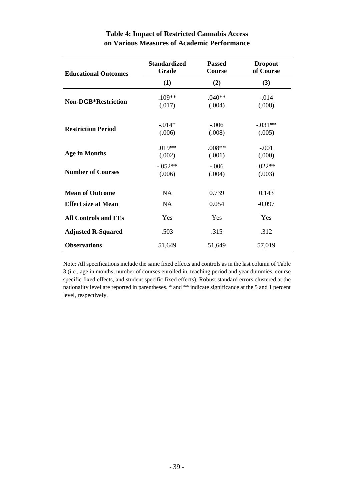| <b>Educational Outcomes</b> | <b>Standardized</b><br>Grade | <b>Passed</b><br>Course | <b>Dropout</b><br>of Course |
|-----------------------------|------------------------------|-------------------------|-----------------------------|
|                             | (1)                          | (2)                     | (3)                         |
| <b>Non-DGB*Restriction</b>  | $.109**$<br>(.017)           | $.040**$<br>(.004)      | $-.014$<br>(.008)           |
| <b>Restriction Period</b>   | $-.014*$<br>(.006)           | $-.006$<br>(.008)       | $-.031**$<br>(.005)         |
| <b>Age in Months</b>        | $.019**$<br>(.002)           | $.008**$<br>(.001)      | $-.001$<br>(.000)           |
| <b>Number of Courses</b>    | $-.052**$<br>(.006)          | $-.006$<br>(.004)       | $.022**$<br>(.003)          |
| <b>Mean of Outcome</b>      | <b>NA</b>                    | 0.739                   | 0.143                       |
| <b>Effect size at Mean</b>  | NA                           | 0.054                   | $-0.097$                    |
| <b>All Controls and FEs</b> | Yes                          | Yes                     | Yes                         |
| <b>Adjusted R-Squared</b>   | .503                         | .315                    | .312                        |
| <b>Observations</b>         | 51,649                       | 51,649                  | 57,019                      |

# **Table 4: Impact of Restricted Cannabis Access on Various Measures of Academic Performance**

Note: All specifications include the same fixed effects and controls as in the last column of Table 3 (i.e., age in months, number of courses enrolled in, teaching period and year dummies, course specific fixed effects, and student specific fixed effects). Robust standard errors clustered at the nationality level are reported in parentheses. \* and \*\* indicate significance at the 5 and 1 percent level, respectively.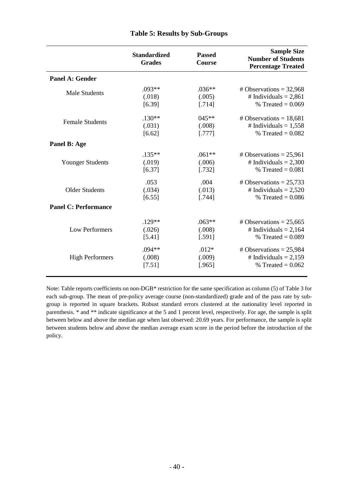|                             | <b>Standardized</b><br><b>Grades</b> | <b>Passed</b><br><b>Course</b> | <b>Sample Size</b><br><b>Number of Students</b><br><b>Percentage Treated</b> |
|-----------------------------|--------------------------------------|--------------------------------|------------------------------------------------------------------------------|
| <b>Panel A: Gender</b>      |                                      |                                |                                                                              |
| <b>Male Students</b>        | $.093**$                             | $.036**$                       | # Observations = $32,968$                                                    |
|                             | (.018)                               | (.005)                         | # Individuals = $2,861$                                                      |
|                             | [6.39]                               | [.714]                         | % Treated = $0.069$                                                          |
| <b>Female Students</b>      | $.130**$                             | 045**                          | # Observations = $18,681$                                                    |
|                             | (.031)                               | (.008)                         | # Individuals = $1,558$                                                      |
|                             | [6.62]                               | [.777]                         | % Treated = $0.082$                                                          |
| Panel B: Age                |                                      |                                |                                                                              |
| <b>Younger Students</b>     | $.135***$                            | $.061**$                       | # Observations = $25,961$                                                    |
|                             | (.019)                               | (.006)                         | # Individuals = $2,300$                                                      |
|                             | [6.37]                               | [.732]                         | % Treated = $0.081$                                                          |
| <b>Older Students</b>       | .053                                 | .004                           | # Observations = $25,733$                                                    |
|                             | (.034)                               | (.013)                         | # Individuals = $2,520$                                                      |
|                             | [6.55]                               | [.744]                         | % Treated = $0.086$                                                          |
| <b>Panel C: Performance</b> |                                      |                                |                                                                              |
| <b>Low Performers</b>       | $.129**$                             | $.063**$                       | # Observations = $25,665$                                                    |
|                             | (.026)                               | (.008)                         | # Individuals = $2,164$                                                      |
|                             | [5.41]                               | [.591]                         | % Treated = $0.089$                                                          |
| <b>High Performers</b>      | $.094**$                             | $.012*$                        | # Observations = $25,984$                                                    |
|                             | (.008)                               | (.009)                         | # Individuals = $2,159$                                                      |
|                             | [7.51]                               | [.965]                         | % Treated = $0.062$                                                          |

Note: Table reports coefficients on non-DGB\* restriction for the same specification as column (5) of Table 3 for each sub-group. The mean of pre-policy average course (non-standardized) grade and of the pass rate by subgroup is reported in square brackets. Robust standard errors clustered at the nationality level reported in parenthesis. \* and \*\* indicate significance at the 5 and 1 percent level, respectively. For age, the sample is split between below and above the median age when last observed: 20.69 years. For performance, the sample is split between students below and above the median average exam score in the period before the introduction of the policy.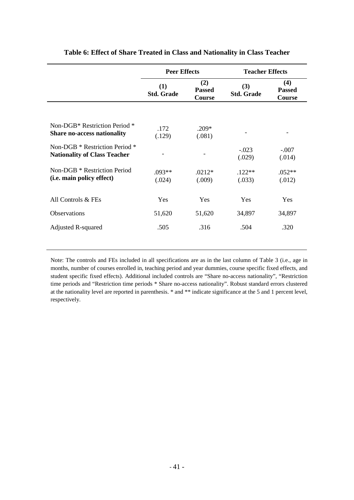|                                                                       | <b>Peer Effects</b>      |                                | <b>Teacher Effects</b>   |                                |  |
|-----------------------------------------------------------------------|--------------------------|--------------------------------|--------------------------|--------------------------------|--|
|                                                                       | (1)<br><b>Std. Grade</b> | (2)<br><b>Passed</b><br>Course | (3)<br><b>Std. Grade</b> | (4)<br><b>Passed</b><br>Course |  |
|                                                                       |                          |                                |                          |                                |  |
| Non-DGB* Restriction Period *<br><b>Share no-access nationality</b>   | .172<br>(.129)           | $.209*$<br>(.081)              |                          |                                |  |
| Non-DGB * Restriction Period *<br><b>Nationality of Class Teacher</b> |                          |                                | $-.023$<br>(.029)        | $-.007$<br>(.014)              |  |
| Non-DGB * Restriction Period<br>(i.e. main policy effect)             | $.093**$<br>(.024)       | $.0212*$<br>(.009)             | $.122**$<br>(.033)       | $.052**$<br>(.012)             |  |
| All Controls & FEs                                                    | Yes                      | Yes                            | Yes                      | Yes                            |  |
| <b>Observations</b>                                                   | 51,620                   | 51,620                         | 34,897                   | 34,897                         |  |
| <b>Adjusted R-squared</b>                                             | .505                     | .316                           | .504                     | .320                           |  |
|                                                                       |                          |                                |                          |                                |  |

# **Table 6: Effect of Share Treated in Class and Nationality in Class Teacher**

Note: The controls and FEs included in all specifications are as in the last column of Table 3 (i.e., age in months, number of courses enrolled in, teaching period and year dummies, course specific fixed effects, and student specific fixed effects). Additional included controls are "Share no-access nationality", "Restriction time periods and "Restriction time periods \* Share no-access nationality". Robust standard errors clustered at the nationality level are reported in parenthesis. \* and \*\* indicate significance at the 5 and 1 percent level, respectively.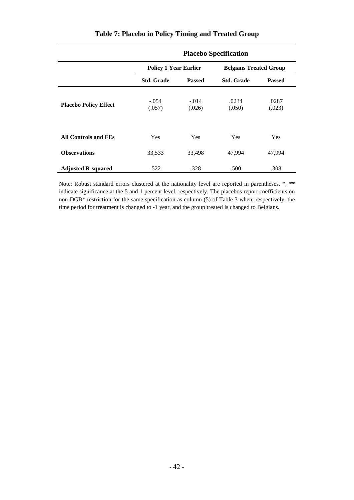|                              | <b>Placebo Specification</b> |                                    |                               |                 |  |
|------------------------------|------------------------------|------------------------------------|-------------------------------|-----------------|--|
|                              | <b>Policy 1 Year Earlier</b> |                                    | <b>Belgians Treated Group</b> |                 |  |
|                              | <b>Std. Grade</b>            | <b>Std. Grade</b><br><b>Passed</b> |                               | <b>Passed</b>   |  |
| <b>Placebo Policy Effect</b> | $-.054$<br>(.057)            | $-.014$<br>(.026)                  | .0234<br>(.050)               | .0287<br>(.023) |  |
| <b>All Controls and FEs</b>  | <b>Yes</b>                   | Yes                                | Yes                           | <b>Yes</b>      |  |
| <b>Observations</b>          | 33,533                       | 33,498                             | 47,994                        | 47,994          |  |
| <b>Adjusted R-squared</b>    | .522                         | .328                               | .500                          | .308            |  |

**Table 7: Placebo in Policy Timing and Treated Group**

Note: Robust standard errors clustered at the nationality level are reported in parentheses. \*, \*\* indicate significance at the 5 and 1 percent level, respectively. The placebos report coefficients on non-DGB\* restriction for the same specification as column (5) of Table 3 when, respectively, the time period for treatment is changed to -1 year, and the group treated is changed to Belgians.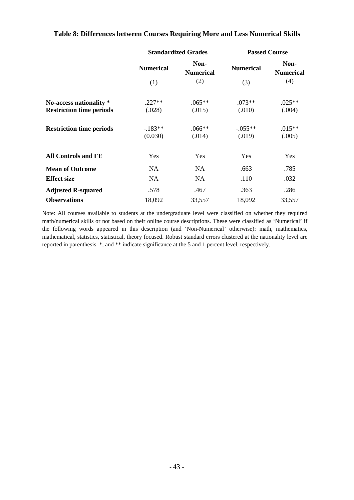|                                                            |                     | <b>Standardized Grades</b> | <b>Passed Course</b> |                          |  |
|------------------------------------------------------------|---------------------|----------------------------|----------------------|--------------------------|--|
|                                                            | <b>Numerical</b>    | Non-<br><b>Numerical</b>   | <b>Numerical</b>     | Non-<br><b>Numerical</b> |  |
|                                                            | (1)                 | (2)                        | (3)                  | (4)                      |  |
| No-access nationality *<br><b>Restriction time periods</b> | $.227**$<br>(.028)  | $.065**$<br>(.015)         | $.073**$<br>(.010)   | $.025**$<br>(.004)       |  |
| <b>Restriction time periods</b>                            | $-183**$<br>(0.030) | $.066**$<br>(.014)         | $-0.055**$<br>(.019) | $.015**$<br>(.005)       |  |
| <b>All Controls and FE</b>                                 | Yes                 | Yes                        | Yes                  | Yes                      |  |
| <b>Mean of Outcome</b>                                     | <b>NA</b>           | NA                         | .663                 | .785                     |  |
| <b>Effect size</b>                                         | <b>NA</b>           | <b>NA</b>                  | .110                 | .032                     |  |
| <b>Adjusted R-squared</b><br><b>Observations</b>           | .578<br>18,092      | .467<br>33,557             | .363<br>18,092       | .286<br>33,557           |  |

# **Table 8: Differences between Courses Requiring More and Less Numerical Skills**

Note: All courses available to students at the undergraduate level were classified on whether they required math/numerical skills or not based on their online course descriptions. These were classified as 'Numerical' if the following words appeared in this description (and 'Non-Numerical' otherwise): math, mathematics, mathematical, statistics, statistical, theory focused. Robust standard errors clustered at the nationality level are reported in parenthesis. \*, and \*\* indicate significance at the 5 and 1 percent level, respectively.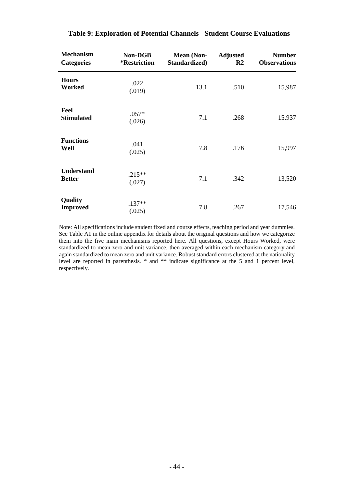| <b>Mechanism</b><br><b>Categories</b> | <b>Non-DGB</b><br><i><b>*Restriction</b></i> | <b>Mean</b> (Non-<br>Standardized) | <b>Adjusted</b><br>$\mathbf{R}2$ | <b>Number</b><br><b>Observations</b> |
|---------------------------------------|----------------------------------------------|------------------------------------|----------------------------------|--------------------------------------|
| <b>Hours</b><br>Worked                | .022<br>(.019)                               | 13.1                               | .510                             | 15,987                               |
| Feel<br><b>Stimulated</b>             | $.057*$<br>(.026)                            | 7.1                                | .268                             | 15.937                               |
| <b>Functions</b><br>Well              | .041<br>(.025)                               | 7.8                                | .176                             | 15,997                               |
| <b>Understand</b><br><b>Better</b>    | $.215**$<br>(.027)                           | 7.1                                | .342                             | 13,520                               |
| Quality<br><b>Improved</b>            | $.137**$<br>(.025)                           | 7.8                                | .267                             | 17,546                               |

**Table 9: Exploration of Potential Channels - Student Course Evaluations**

l.

Note: All specifications include student fixed and course effects, teaching period and year dummies. See Table A1 in the online appendix for details about the original questions and how we categorize them into the five main mechanisms reported here. All questions, except Hours Worked, were standardized to mean zero and unit variance, then averaged within each mechanism category and again standardized to mean zero and unit variance. Robust standard errors clustered at the nationality level are reported in parenthesis. \* and \*\* indicate significance at the 5 and 1 percent level, respectively.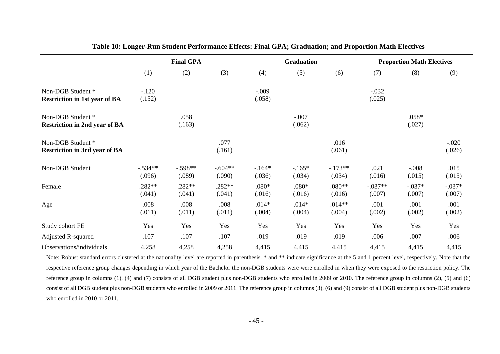|                                                           |                     | <b>Final GPA</b>    |                     | <b>Graduation</b> |                   |                    | <b>Proportion Math Electives</b> |                    |                    |
|-----------------------------------------------------------|---------------------|---------------------|---------------------|-------------------|-------------------|--------------------|----------------------------------|--------------------|--------------------|
|                                                           | (1)                 | (2)                 | (3)                 | (4)               | (5)               | (6)                | (7)                              | (8)                | (9)                |
| Non-DGB Student *<br><b>Restriction in 1st year of BA</b> | $-.120$<br>(.152)   |                     |                     | $-.009$<br>(.058) |                   |                    | $-.032$<br>(.025)                |                    |                    |
| Non-DGB Student *<br><b>Restriction in 2nd year of BA</b> |                     | .058<br>(.163)      |                     |                   | $-.007$<br>(.062) |                    |                                  | $.058*$<br>(.027)  |                    |
| Non-DGB Student *<br><b>Restriction in 3rd year of BA</b> |                     |                     | .077<br>(.161)      |                   |                   | .016<br>(.061)     |                                  |                    | $-.020$<br>(.026)  |
| Non-DGB Student                                           | $-.534**$<br>(.096) | $-.598**$<br>(.089) | $-.604**$<br>(.090) | $-164*$<br>(.036) | $-165*$<br>(.034) | $-173**$<br>(.034) | .021<br>(.016)                   | $-.008$<br>(.015)  | .015<br>(.015)     |
| Female                                                    | .282**<br>(.041)    | $.282**$<br>(.041)  | $.282**$<br>(.041)  | $.080*$<br>(.016) | $.080*$<br>(.016) | $.080**$<br>(.016) | $-.037**$<br>(.007)              | $-.037*$<br>(.007) | $-.037*$<br>(.007) |
| Age                                                       | .008<br>(.011)      | .008<br>(.011)      | .008<br>(.011)      | $.014*$<br>(.004) | $.014*$<br>(.004) | $.014**$<br>(.004) | .001<br>(.002)                   | .001<br>(.002)     | .001<br>(.002)     |
| Study cohort FE                                           | Yes                 | Yes                 | Yes                 | Yes               | Yes               | Yes                | Yes                              | Yes                | Yes                |
| <b>Adjusted R-squared</b>                                 | .107                | .107                | .107                | .019              | .019              | .019               | .006                             | .007               | .006               |
| Observations/individuals                                  | 4,258               | 4,258               | 4,258               | 4,415             | 4,415             | 4,415              | 4,415                            | 4,415              | 4,415              |

**Table 10: Longer-Run Student Performance Effects: Final GPA; Graduation; and Proportion Math Electives**

Note: Robust standard errors clustered at the nationality level are reported in parenthesis. \* and \*\* indicate significance at the 5 and 1 percent level, respectively. Note that the respective reference group changes depending in which year of the Bachelor the non-DGB students were were enrolled in when they were exposed to the restriction policy. The reference group in columns (1), (4) and (7) consists of all DGB student plus non-DGB students who enrolled in 2009 or 2010. The reference group in columns (2), (5) and (6) consist of all DGB student plus non-DGB students who enrolled in 2009 or 2011. The reference group in columns (3), (6) and (9) consist of all DGB student plus non-DGB students who enrolled in 2010 or 2011.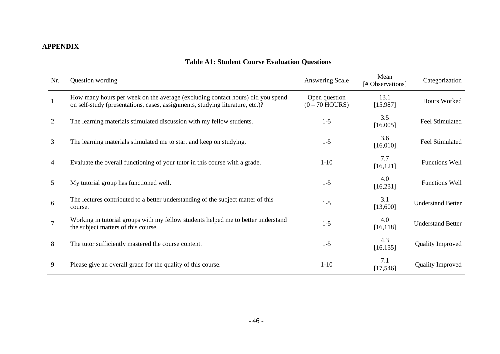# **APPENDIX**

| Nr.             | Question wording                                                                                                                                                | <b>Answering Scale</b>            | Mean<br>[# Observations] | Categorization           |
|-----------------|-----------------------------------------------------------------------------------------------------------------------------------------------------------------|-----------------------------------|--------------------------|--------------------------|
| $\mathbf{1}$    | How many hours per week on the average (excluding contact hours) did you spend<br>on self-study (presentations, cases, assignments, studying literature, etc.)? | Open question<br>$(0 - 70$ HOURS) | 13.1<br>[15,987]         | Hours Worked             |
| 2               | The learning materials stimulated discussion with my fellow students.                                                                                           | $1-5$                             | 3.5<br>[16.005]          | Feel Stimulated          |
| $\mathfrak{Z}$  | The learning materials stimulated me to start and keep on studying.                                                                                             | $1-5$                             | 3.6<br>[16,010]          | Feel Stimulated          |
| 4               | Evaluate the overall functioning of your tutor in this course with a grade.                                                                                     | $1-10$                            | 7.7<br>[16, 121]         | <b>Functions Well</b>    |
| 5 <sup>5</sup>  | My tutorial group has functioned well.                                                                                                                          | $1-5$                             | 4.0<br>[16, 231]         | <b>Functions Well</b>    |
| 6               | The lectures contributed to a better understanding of the subject matter of this<br>course.                                                                     | $1-5$                             | 3.1<br>[13,600]          | <b>Understand Better</b> |
| $7\phantom{.0}$ | Working in tutorial groups with my fellow students helped me to better understand<br>the subject matters of this course.                                        | $1-5$                             | 4.0<br>[16, 118]         | <b>Understand Better</b> |
| 8               | The tutor sufficiently mastered the course content.                                                                                                             | $1-5$                             | 4.3<br>[16, 135]         | <b>Quality Improved</b>  |
| 9               | Please give an overall grade for the quality of this course.                                                                                                    | $1-10$                            | 7.1<br>[17,546]          | <b>Quality Improved</b>  |

# **Table A1: Student Course Evaluation Questions**